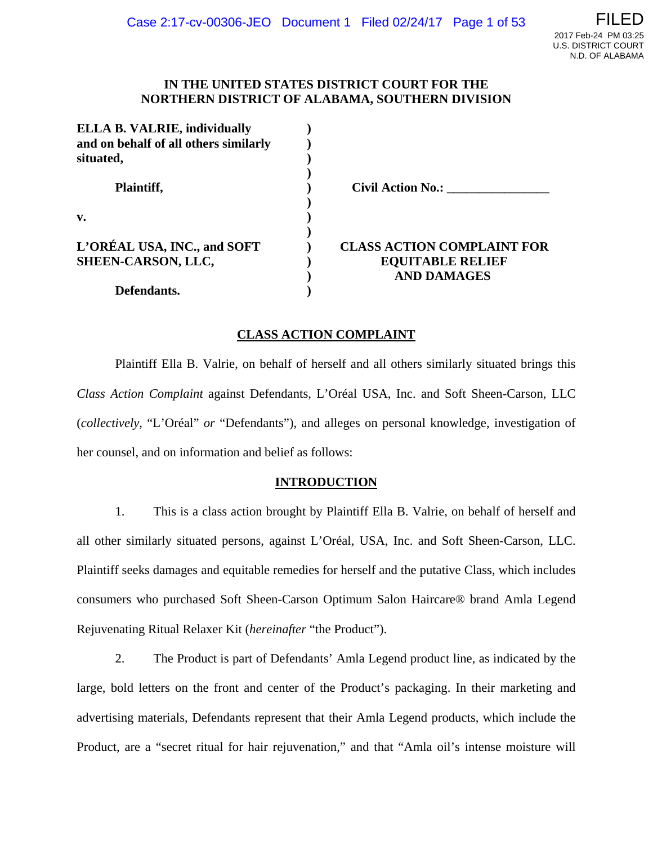#### **IN THE UNITED STATES DISTRICT COURT FOR THE NORTHERN DISTRICT OF ALABAMA, SOUTHERN DIVISION**

| <b>ELLA B. VALRIE, individually</b><br>and on behalf of all others similarly<br>situated, |                                   |
|-------------------------------------------------------------------------------------------|-----------------------------------|
|                                                                                           |                                   |
| Plaintiff,                                                                                | <b>Civil Action No.:</b>          |
| $\mathbf{v}$ .                                                                            |                                   |
| L'ORÉAL USA, INC., and SOFT                                                               | <b>CLASS ACTION COMPLAINT FOR</b> |
| <b>SHEEN-CARSON, LLC,</b>                                                                 | <b>EQUITABLE RELIEF</b>           |
|                                                                                           | <b>AND DAMAGES</b>                |
| Defendants.                                                                               |                                   |

#### **CLASS ACTION COMPLAINT**

Plaintiff Ella B. Valrie, on behalf of herself and all others similarly situated brings this *Class Action Complaint* against Defendants, L'Oréal USA, Inc. and Soft Sheen-Carson, LLC (*collectively*, "L'Oréal" *or* "Defendants"), and alleges on personal knowledge, investigation of her counsel, and on information and belief as follows:

#### **INTRODUCTION**

1. This is a class action brought by Plaintiff Ella B. Valrie, on behalf of herself and all other similarly situated persons, against L'Oréal, USA, Inc. and Soft Sheen-Carson, LLC. Plaintiff seeks damages and equitable remedies for herself and the putative Class, which includes consumers who purchased Soft Sheen-Carson Optimum Salon Haircare® brand Amla Legend Rejuvenating Ritual Relaxer Kit (*hereinafter* "the Product").

2. The Product is part of Defendants' Amla Legend product line, as indicated by the large, bold letters on the front and center of the Product's packaging. In their marketing and advertising materials, Defendants represent that their Amla Legend products, which include the Product, are a "secret ritual for hair rejuvenation," and that "Amla oil's intense moisture will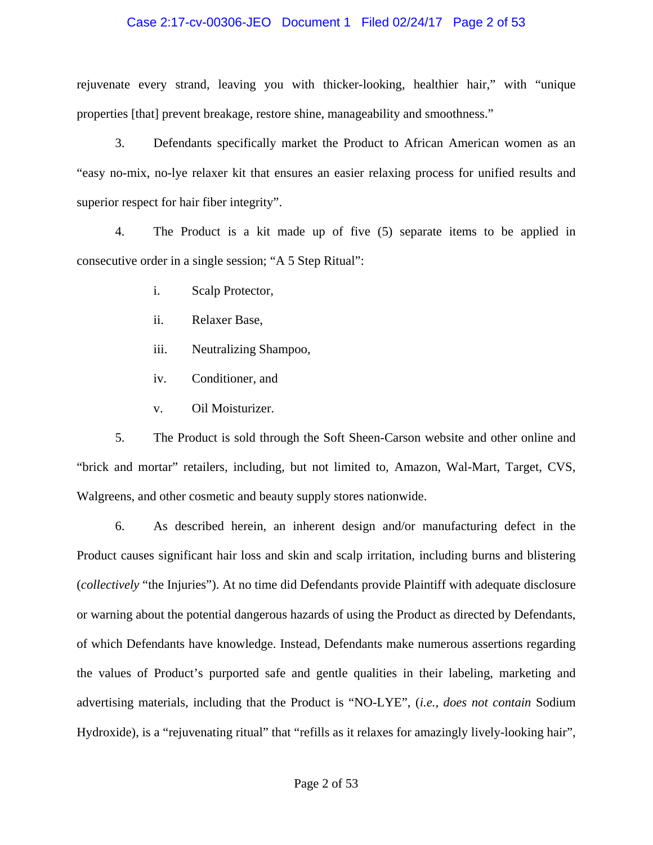#### Case 2:17-cv-00306-JEO Document 1 Filed 02/24/17 Page 2 of 53

rejuvenate every strand, leaving you with thicker-looking, healthier hair," with "unique properties [that] prevent breakage, restore shine, manageability and smoothness."

3. Defendants specifically market the Product to African American women as an "easy no-mix, no-lye relaxer kit that ensures an easier relaxing process for unified results and superior respect for hair fiber integrity".

4. The Product is a kit made up of five (5) separate items to be applied in consecutive order in a single session; "A 5 Step Ritual":

- i. Scalp Protector,
- ii. Relaxer Base,
- iii. Neutralizing Shampoo,
- iv. Conditioner, and
- v. Oil Moisturizer.

5. The Product is sold through the Soft Sheen-Carson website and other online and "brick and mortar" retailers, including, but not limited to, Amazon, Wal-Mart, Target, CVS, Walgreens, and other cosmetic and beauty supply stores nationwide.

6. As described herein, an inherent design and/or manufacturing defect in the Product causes significant hair loss and skin and scalp irritation, including burns and blistering (*collectively* "the Injuries"). At no time did Defendants provide Plaintiff with adequate disclosure or warning about the potential dangerous hazards of using the Product as directed by Defendants, of which Defendants have knowledge. Instead, Defendants make numerous assertions regarding the values of Product's purported safe and gentle qualities in their labeling, marketing and advertising materials, including that the Product is "NO-LYE", (*i.e., does not contain* Sodium Hydroxide), is a "rejuvenating ritual" that "refills as it relaxes for amazingly lively-looking hair",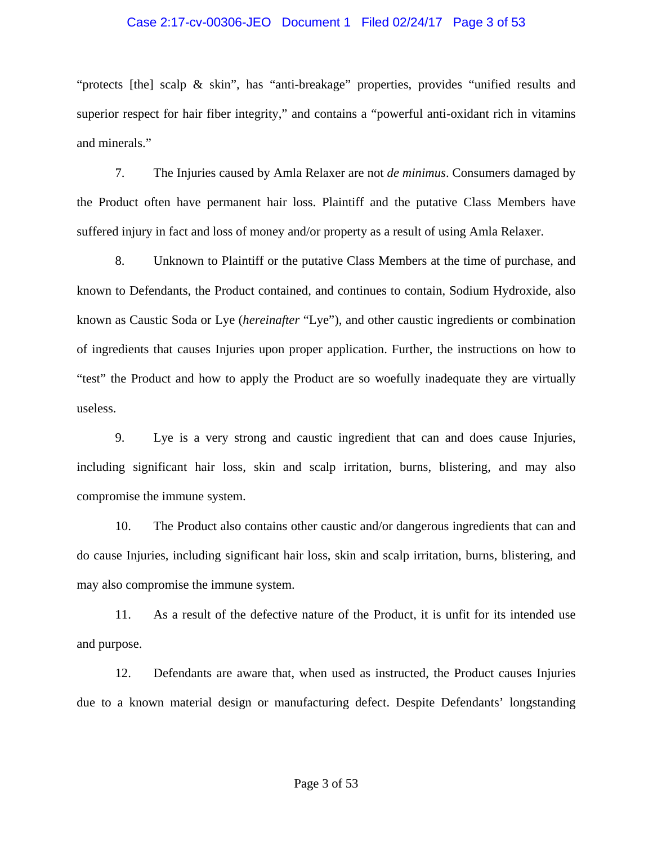#### Case 2:17-cv-00306-JEO Document 1 Filed 02/24/17 Page 3 of 53

"protects [the] scalp & skin", has "anti-breakage" properties, provides "unified results and superior respect for hair fiber integrity," and contains a "powerful anti-oxidant rich in vitamins and minerals."

7. The Injuries caused by Amla Relaxer are not *de minimus*. Consumers damaged by the Product often have permanent hair loss. Plaintiff and the putative Class Members have suffered injury in fact and loss of money and/or property as a result of using Amla Relaxer.

8. Unknown to Plaintiff or the putative Class Members at the time of purchase, and known to Defendants, the Product contained, and continues to contain, Sodium Hydroxide, also known as Caustic Soda or Lye (*hereinafter* "Lye"), and other caustic ingredients or combination of ingredients that causes Injuries upon proper application. Further, the instructions on how to "test" the Product and how to apply the Product are so woefully inadequate they are virtually useless.

9. Lye is a very strong and caustic ingredient that can and does cause Injuries, including significant hair loss, skin and scalp irritation, burns, blistering, and may also compromise the immune system.

10. The Product also contains other caustic and/or dangerous ingredients that can and do cause Injuries, including significant hair loss, skin and scalp irritation, burns, blistering, and may also compromise the immune system.

11. As a result of the defective nature of the Product, it is unfit for its intended use and purpose.

12. Defendants are aware that, when used as instructed, the Product causes Injuries due to a known material design or manufacturing defect. Despite Defendants' longstanding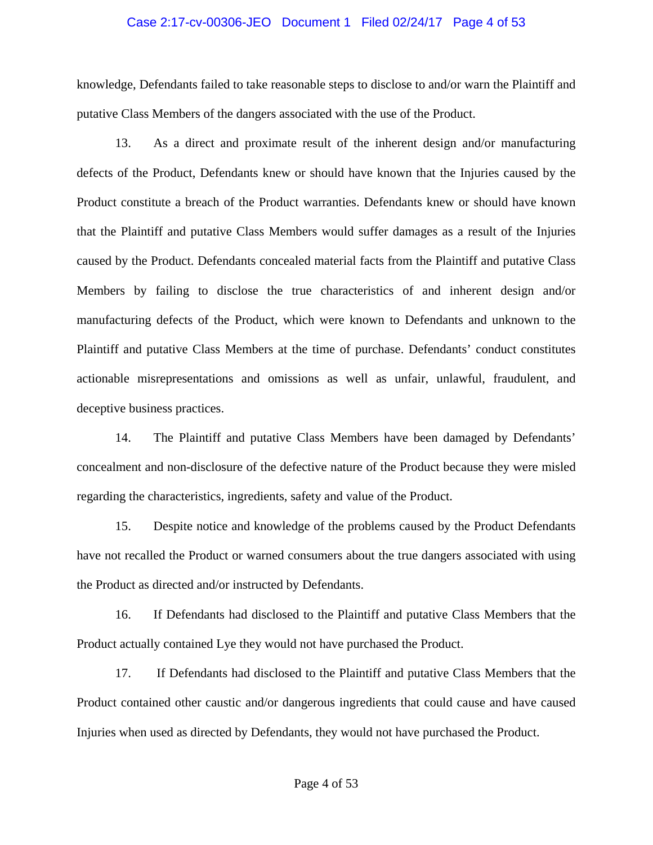#### Case 2:17-cv-00306-JEO Document 1 Filed 02/24/17 Page 4 of 53

knowledge, Defendants failed to take reasonable steps to disclose to and/or warn the Plaintiff and putative Class Members of the dangers associated with the use of the Product.

13. As a direct and proximate result of the inherent design and/or manufacturing defects of the Product, Defendants knew or should have known that the Injuries caused by the Product constitute a breach of the Product warranties. Defendants knew or should have known that the Plaintiff and putative Class Members would suffer damages as a result of the Injuries caused by the Product. Defendants concealed material facts from the Plaintiff and putative Class Members by failing to disclose the true characteristics of and inherent design and/or manufacturing defects of the Product, which were known to Defendants and unknown to the Plaintiff and putative Class Members at the time of purchase. Defendants' conduct constitutes actionable misrepresentations and omissions as well as unfair, unlawful, fraudulent, and deceptive business practices.

14. The Plaintiff and putative Class Members have been damaged by Defendants' concealment and non-disclosure of the defective nature of the Product because they were misled regarding the characteristics, ingredients, safety and value of the Product.

15. Despite notice and knowledge of the problems caused by the Product Defendants have not recalled the Product or warned consumers about the true dangers associated with using the Product as directed and/or instructed by Defendants.

16. If Defendants had disclosed to the Plaintiff and putative Class Members that the Product actually contained Lye they would not have purchased the Product.

17. If Defendants had disclosed to the Plaintiff and putative Class Members that the Product contained other caustic and/or dangerous ingredients that could cause and have caused Injuries when used as directed by Defendants, they would not have purchased the Product.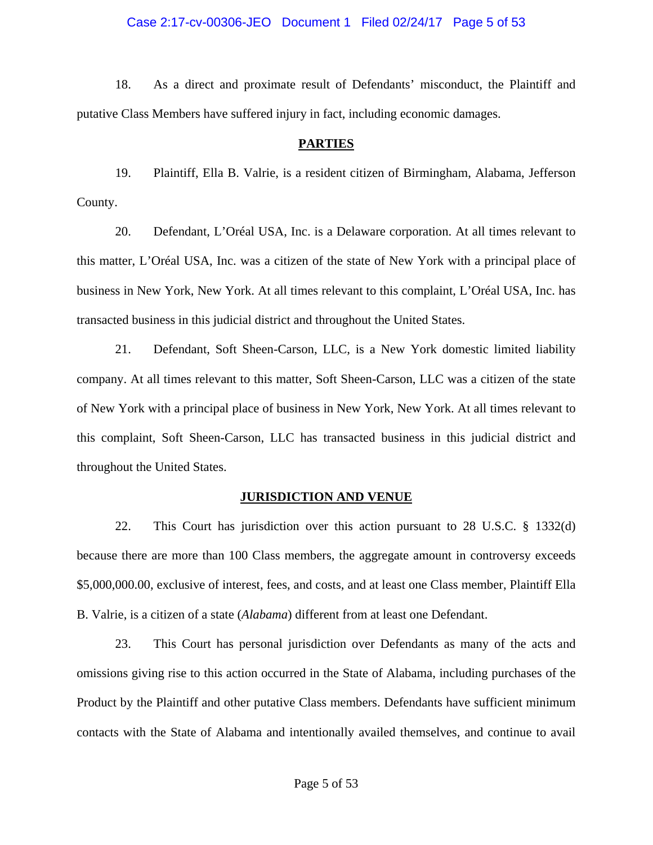18. As a direct and proximate result of Defendants' misconduct, the Plaintiff and putative Class Members have suffered injury in fact, including economic damages.

### **PARTIES**

19. Plaintiff, Ella B. Valrie, is a resident citizen of Birmingham, Alabama, Jefferson County.

20. Defendant, L'Oréal USA, Inc. is a Delaware corporation. At all times relevant to this matter, L'Oréal USA, Inc. was a citizen of the state of New York with a principal place of business in New York, New York. At all times relevant to this complaint, L'Oréal USA, Inc. has transacted business in this judicial district and throughout the United States.

21. Defendant, Soft Sheen-Carson, LLC, is a New York domestic limited liability company. At all times relevant to this matter, Soft Sheen-Carson, LLC was a citizen of the state of New York with a principal place of business in New York, New York. At all times relevant to this complaint, Soft Sheen-Carson, LLC has transacted business in this judicial district and throughout the United States.

### **JURISDICTION AND VENUE**

22. This Court has jurisdiction over this action pursuant to 28 U.S.C. § 1332(d) because there are more than 100 Class members, the aggregate amount in controversy exceeds \$5,000,000.00, exclusive of interest, fees, and costs, and at least one Class member, Plaintiff Ella B. Valrie, is a citizen of a state (*Alabama*) different from at least one Defendant.

23. This Court has personal jurisdiction over Defendants as many of the acts and omissions giving rise to this action occurred in the State of Alabama, including purchases of the Product by the Plaintiff and other putative Class members. Defendants have sufficient minimum contacts with the State of Alabama and intentionally availed themselves, and continue to avail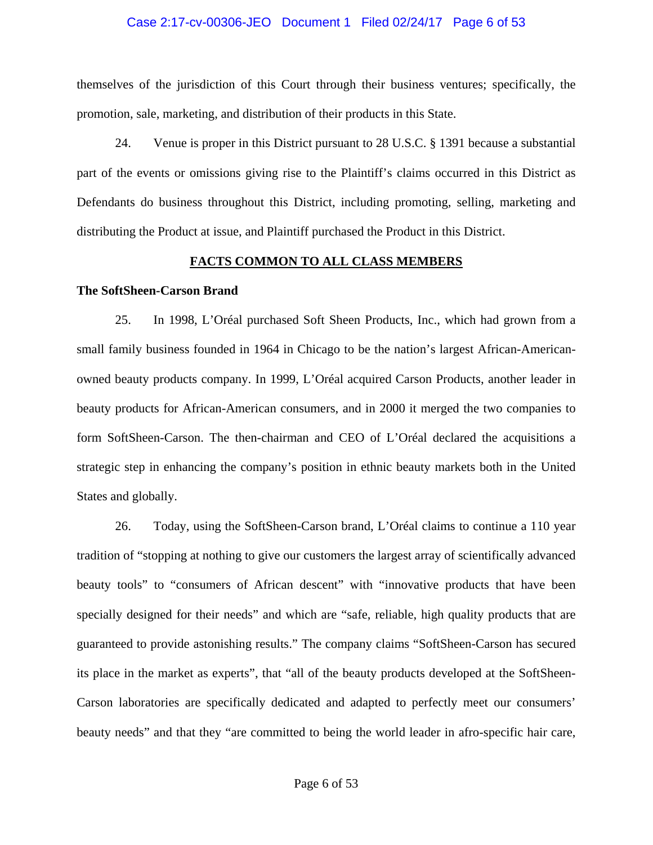#### Case 2:17-cv-00306-JEO Document 1 Filed 02/24/17 Page 6 of 53

themselves of the jurisdiction of this Court through their business ventures; specifically, the promotion, sale, marketing, and distribution of their products in this State.

24. Venue is proper in this District pursuant to 28 U.S.C. § 1391 because a substantial part of the events or omissions giving rise to the Plaintiff's claims occurred in this District as Defendants do business throughout this District, including promoting, selling, marketing and distributing the Product at issue, and Plaintiff purchased the Product in this District.

#### **FACTS COMMON TO ALL CLASS MEMBERS**

#### **The SoftSheen-Carson Brand**

25. In 1998, L'Oréal purchased Soft Sheen Products, Inc., which had grown from a small family business founded in 1964 in Chicago to be the nation's largest African-Americanowned beauty products company. In 1999, L'Oréal acquired Carson Products, another leader in beauty products for African-American consumers, and in 2000 it merged the two companies to form SoftSheen-Carson. The then-chairman and CEO of L'Oréal declared the acquisitions a strategic step in enhancing the company's position in ethnic beauty markets both in the United States and globally.

26. Today, using the SoftSheen-Carson brand, L'Oréal claims to continue a 110 year tradition of "stopping at nothing to give our customers the largest array of scientifically advanced beauty tools" to "consumers of African descent" with "innovative products that have been specially designed for their needs" and which are "safe, reliable, high quality products that are guaranteed to provide astonishing results." The company claims "SoftSheen-Carson has secured its place in the market as experts", that "all of the beauty products developed at the SoftSheen-Carson laboratories are specifically dedicated and adapted to perfectly meet our consumers' beauty needs" and that they "are committed to being the world leader in afro-specific hair care,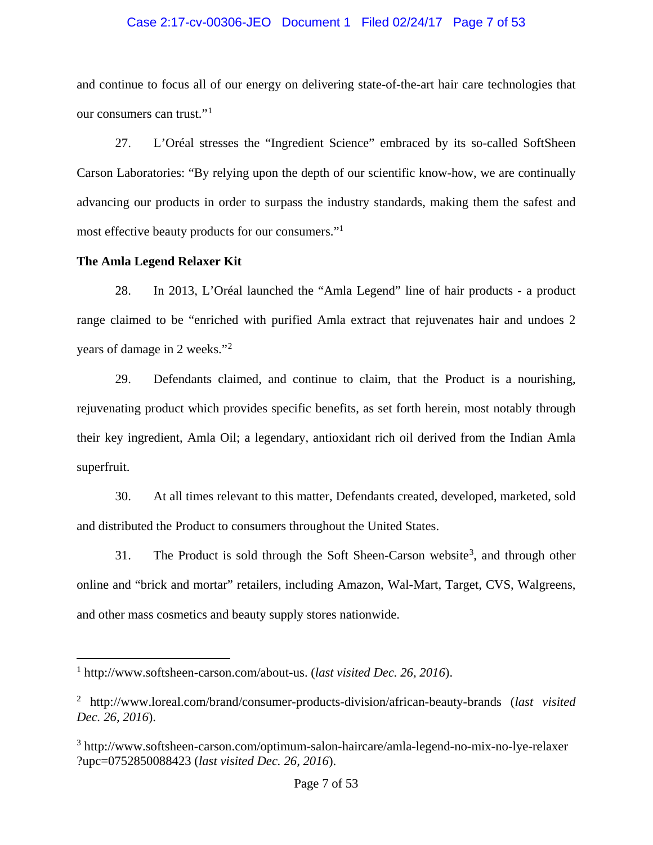#### Case 2:17-cv-00306-JEO Document 1 Filed 02/24/17 Page 7 of 53

and continue to focus all of our energy on delivering state-of-the-art hair care technologies that our consumers can trust."<sup>[1](#page-6-0)</sup>

27. L'Oréal stresses the "Ingredient Science" embraced by its so-called SoftSheen Carson Laboratories: "By relying upon the depth of our scientific know-how, we are continually advancing our products in order to surpass the industry standards, making them the safest and most effective beauty products for our consumers."<sup>1</sup>

### **The Amla Legend Relaxer Kit**

 $\overline{a}$ 

28. In 2013, L'Oréal launched the "Amla Legend" line of hair products - a product range claimed to be "enriched with purified Amla extract that rejuvenates hair and undoes 2 years of damage in 2 weeks."[2](#page-6-1)

29. Defendants claimed, and continue to claim, that the Product is a nourishing, rejuvenating product which provides specific benefits, as set forth herein, most notably through their key ingredient, Amla Oil; a legendary, antioxidant rich oil derived from the Indian Amla superfruit.

30. At all times relevant to this matter, Defendants created, developed, marketed, sold and distributed the Product to consumers throughout the United States.

[3](#page-6-2)1. The Product is sold through the Soft Sheen-Carson website<sup>3</sup>, and through other online and "brick and mortar" retailers, including Amazon, Wal-Mart, Target, CVS, Walgreens, and other mass cosmetics and beauty supply stores nationwide.

<span id="page-6-0"></span><sup>1</sup> http://www.softsheen-carson.com/about-us. (*last visited Dec. 26, 2016*).

<span id="page-6-1"></span><sup>2</sup> http://www.loreal.com/brand/consumer-products-division/african-beauty-brands (*last visited Dec. 26, 2016*).

<span id="page-6-2"></span><sup>3</sup> http://www.softsheen-carson.com/optimum-salon-haircare/amla-legend-no-mix-no-lye-relaxer ?upc=0752850088423 (*last visited Dec. 26, 2016*).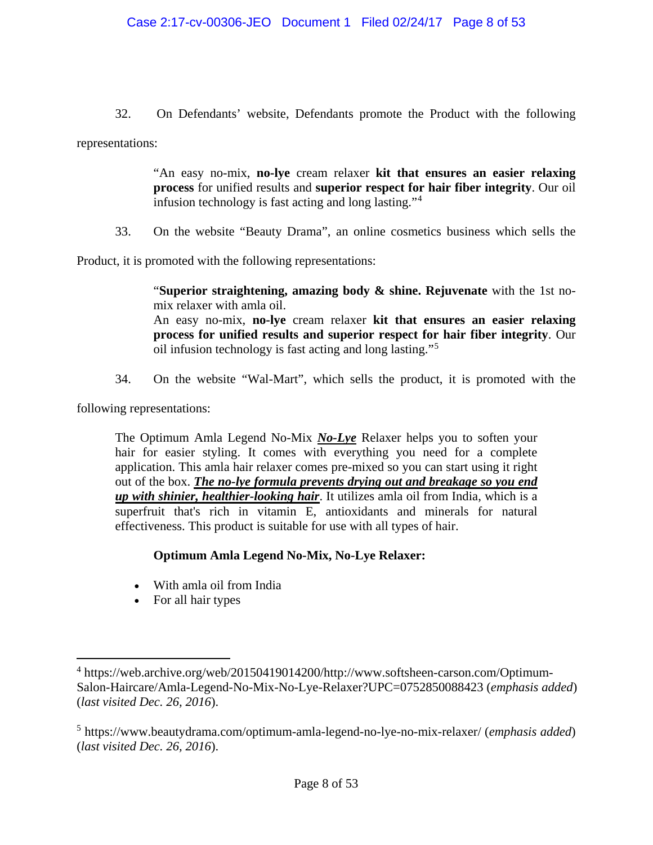32. On Defendants' website, Defendants promote the Product with the following representations:

> "An easy no-mix, **no-lye** cream relaxer **kit that ensures an easier relaxing process** for unified results and **superior respect for hair fiber integrity**. Our oil infusion technology is fast acting and long lasting."[4](#page-7-0)

33. On the website "Beauty Drama", an online cosmetics business which sells the

Product, it is promoted with the following representations:

"**Superior straightening, amazing body & shine. Rejuvenate** with the 1st nomix relaxer with amla oil. An easy no-mix, **no-lye** cream relaxer **kit that ensures an easier relaxing process for unified results and superior respect for hair fiber integrity**. Our oil infusion technology is fast acting and long lasting."[5](#page-7-1)

34. On the website "Wal-Mart", which sells the product, it is promoted with the

following representations:

 $\overline{a}$ 

The Optimum Amla Legend No-Mix *No-Lye* Relaxer helps you to soften your hair for easier styling. It comes with everything you need for a complete application. This amla hair relaxer comes pre-mixed so you can start using it right out of the box. *The no-lye formula prevents drying out and breakage so you end up with shinier, healthier-looking hair*. It utilizes amla oil from India, which is a superfruit that's rich in vitamin E, antioxidants and minerals for natural effectiveness. This product is suitable for use with all types of hair.

## **Optimum Amla Legend No-Mix, No-Lye Relaxer:**

- With amla oil from India
- For all hair types

<span id="page-7-0"></span><sup>4</sup> https://web.archive.org/web/20150419014200/http://www.softsheen-carson.com/Optimum-Salon-Haircare/Amla-Legend-No-Mix-No-Lye-Relaxer?UPC=0752850088423 (*emphasis added*) (*last visited Dec. 26, 2016*).

<span id="page-7-1"></span><sup>5</sup> https://www.beautydrama.com/optimum-amla-legend-no-lye-no-mix-relaxer/ (*emphasis added*) (*last visited Dec. 26, 2016*).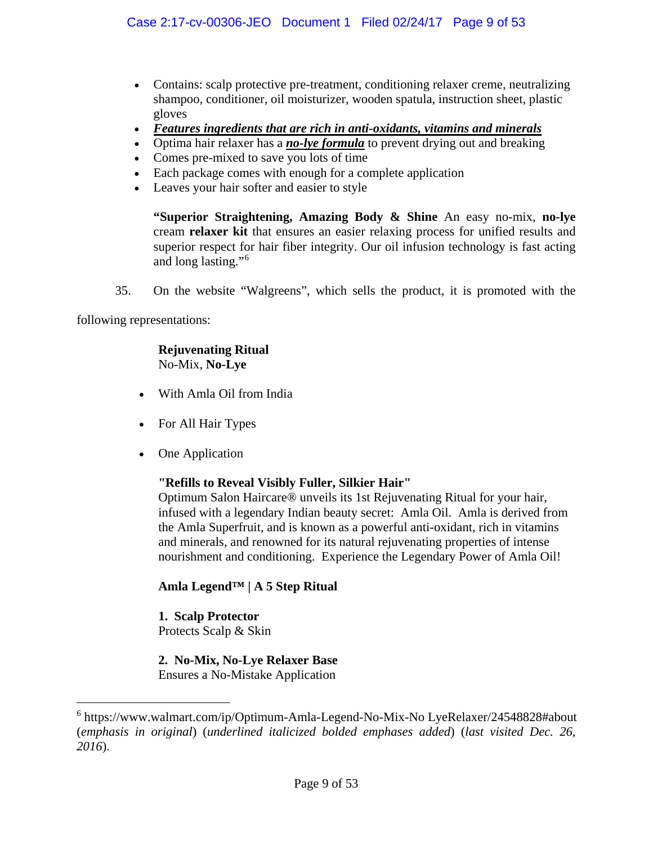- Contains: scalp protective pre-treatment, conditioning relaxer creme, neutralizing shampoo, conditioner, oil moisturizer, wooden spatula, instruction sheet, plastic gloves
- *Features ingredients that are rich in anti-oxidants, vitamins and minerals*
- Optima hair relaxer has a *no-lye formula* to prevent drying out and breaking
- Comes pre-mixed to save you lots of time
- Each package comes with enough for a complete application
- Leaves your hair softer and easier to style

**"Superior Straightening, Amazing Body & Shine** An easy no-mix, **no-lye** cream **relaxer kit** that ensures an easier relaxing process for unified results and superior respect for hair fiber integrity. Our oil infusion technology is fast acting and long lasting."[6](#page-8-0)

35. On the website "Walgreens", which sells the product, it is promoted with the

following representations:

 $\overline{a}$ 

### **Rejuvenating Ritual** No-Mix, **No-Lye**

- With Amla Oil from India
- For All Hair Types
- One Application

## **"Refills to Reveal Visibly Fuller, Silkier Hair"**

Optimum Salon Haircare® unveils its 1st Rejuvenating Ritual for your hair, infused with a legendary Indian beauty secret: Amla Oil. Amla is derived from the Amla Superfruit, and is known as a powerful anti-oxidant, rich in vitamins and minerals, and renowned for its natural rejuvenating properties of intense nourishment and conditioning. Experience the Legendary Power of Amla Oil!

## **Amla Legend™ | A 5 Step Ritual**

# **1. Scalp Protector**

Protects Scalp & Skin

# **2. No-Mix, No-Lye Relaxer Base**

Ensures a No-Mistake Application

<span id="page-8-0"></span><sup>6</sup> https://www.walmart.com/ip/Optimum-Amla-Legend-No-Mix-No LyeRelaxer/24548828#about (*emphasis in original*) (*underlined italicized bolded emphases added*) (*last visited Dec. 26, 2016*).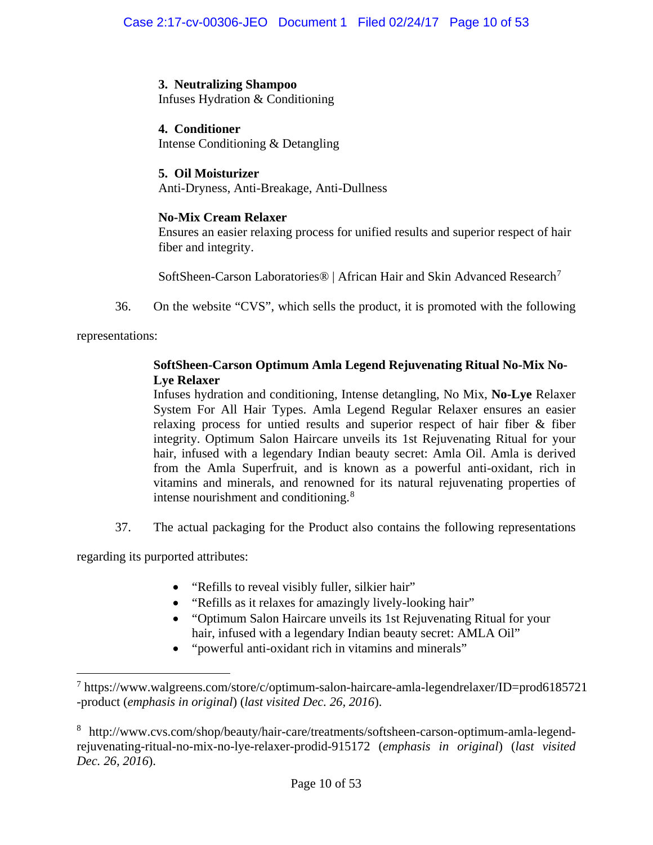# **3. Neutralizing Shampoo**

Infuses Hydration & Conditioning

# **4. Conditioner**

Intense Conditioning & Detangling

# **5. Oil Moisturizer**

Anti-Dryness, Anti-Breakage, Anti-Dullness

# **No-Mix Cream Relaxer**

Ensures an easier relaxing process for unified results and superior respect of hair fiber and integrity.

SoftSheen-Carson Laboratories® | African Hair and Skin Advanced Research[7](#page-9-0)

36. On the website "CVS", which sells the product, it is promoted with the following

representations:

 $\overline{a}$ 

# **SoftSheen-Carson Optimum Amla Legend Rejuvenating Ritual No-Mix No-Lye Relaxer**

Infuses hydration and conditioning, Intense detangling, No Mix, **No-Lye** Relaxer System For All Hair Types. Amla Legend Regular Relaxer ensures an easier relaxing process for untied results and superior respect of hair fiber & fiber integrity. Optimum Salon Haircare unveils its 1st Rejuvenating Ritual for your hair, infused with a legendary Indian beauty secret: Amla Oil. Amla is derived from the Amla Superfruit, and is known as a powerful anti-oxidant, rich in vitamins and minerals, and renowned for its natural rejuvenating properties of intense nourishment and conditioning.<sup>[8](#page-9-1)</sup>

37. The actual packaging for the Product also contains the following representations

regarding its purported attributes:

- "Refills to reveal visibly fuller, silkier hair"
- "Refills as it relaxes for amazingly lively-looking hair"
- "Optimum Salon Haircare unveils its 1st Rejuvenating Ritual for your hair, infused with a legendary Indian beauty secret: AMLA Oil"
- "powerful anti-oxidant rich in vitamins and minerals"

<span id="page-9-0"></span> $^7$  https://www.walgreens.com/store/c/optimum-salon-haircare-amla-legendrelaxer/ID=prod6185721 -product (*emphasis in original*) (*last visited Dec. 26, 2016*).

<span id="page-9-1"></span><sup>8</sup> http://www.cvs.com/shop/beauty/hair-care/treatments/softsheen-carson-optimum-amla-legendrejuvenating-ritual-no-mix-no-lye-relaxer-prodid-915172 (*emphasis in original*) (*last visited Dec. 26, 2016*).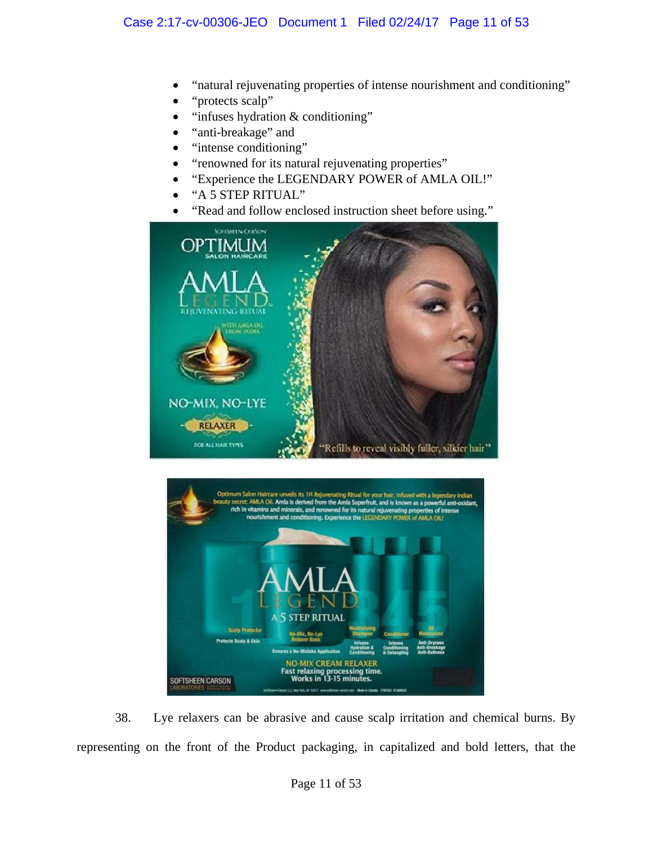- "natural rejuvenating properties of intense nourishment and conditioning"
- "protects scalp"
- "infuses hydration & conditioning"
- "anti-breakage" and
- "intense conditioning"
- "renowned for its natural rejuvenating properties"
- "Experience the LEGENDARY POWER of AMLA OIL!"
- "A 5 STEP RITUAL"
- "Read and follow enclosed instruction sheet before using."





38. Lye relaxers can be abrasive and cause scalp irritation and chemical burns. By representing on the front of the Product packaging, in capitalized and bold letters, that the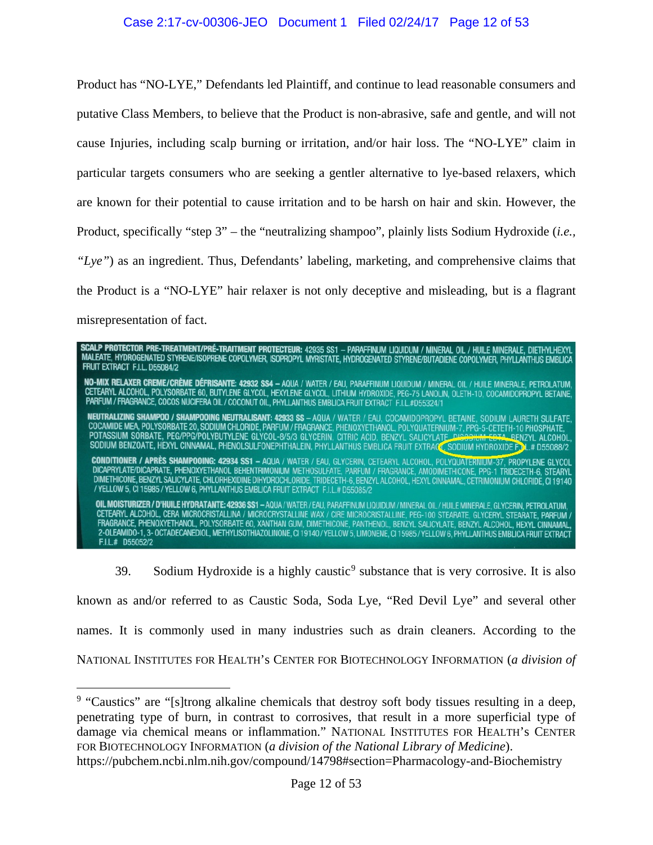### Case 2:17-cv-00306-JEO Document 1 Filed 02/24/17 Page 12 of 53

Product has "NO-LYE," Defendants led Plaintiff, and continue to lead reasonable consumers and putative Class Members, to believe that the Product is non-abrasive, safe and gentle, and will not cause Injuries, including scalp burning or irritation, and/or hair loss. The "NO-LYE" claim in particular targets consumers who are seeking a gentler alternative to lye-based relaxers, which are known for their potential to cause irritation and to be harsh on hair and skin. However, the Product, specifically "step 3" – the "neutralizing shampoo", plainly lists Sodium Hydroxide (*i.e., "Lye"*) as an ingredient. Thus, Defendants' labeling, marketing, and comprehensive claims that the Product is a "NO-LYE" hair relaxer is not only deceptive and misleading, but is a flagrant misrepresentation of fact.

**Scalp Protector Pre-treatment/Pré-traitment Protecteur:** 42935 SS1 — Paraffinum Liquidum / Mineral Oil / Huile Minerale, Diethylhexyl<br>Maleate, Hydrogenated Styrene/Isoprene Copolymer, Isopropyl Myristate, Hydrogenated Sty FRUIT EXTRACT F.I.L. D55084/2 **NO-MIX RELAXER CREME/CRÈME DÉFRISANTE: 42932 SS4 –** AQUA / WATER / EAU, PARAFFINUM LIQUIDUM / MINERAL OIL / HUILE MINERALE, PETROLATUM,<br>CETEARYL ALCOHOL, POLYSORBATE 60, BUTYLENE GLYCOL, HEXYLENE GLYCOL, LITHIUM HYDROXIDE **NEUTRALIZING SHAMPOO / SHAMPOOING NEUTRALISANT: 42933 SS – AQUA / WATER / EAU, COCAMIDOPROPYL BETAINE, SODIUM LAURETH SULFATE,<br>COCAMIDE MEA, POLYSORBATE 20, SODIUM CHLORIDE, PARFUM / FRAGRANCE, PHENOXYETHANOL, POLYQUATERN** CONDITIONER / APRÈS SHAMPOOING: 42934 SS1 - AQUA / WATER / EAU, GLYCERIN, CETEARYL ALCOHOL, POLYQUATERNIUM-37, PROPYLENE GLYCOL<br>DICAPRYLATE/DICAPRATE, PHENOXYETHANOL BEHENTRIMONIUM METHOSULFATE, PARFUM / FRAGRANCE, AMODIME OIL MOISTURIZER / D'HUILE HYDRATANTE: 42936 SS1 - AQUA / WATER / EAU, PARAFFINUM LIQUIDUM / MINERAL OIL / HUILE MINERALE, GLYCERIN, PETROLATUM, CETEARYL ALCOHOL, CERA MICROCRISTALLINA / MICROCRYSTALLINE WAX / CIRE MICROCRISTALLINE, PEG-100 STEARATE, GLYCERYL STEARATE, PARFUM /<br>FRAGRANCE, PHENOXYETHANOL, POLYSORBATE 60, XANTHAN GUM, DIMETHICONE, PANTHENOL, BENZYL S F.I.L.# D55052/2

3[9](#page-11-0). Sodium Hydroxide is a highly caustic<sup>9</sup> substance that is very corrosive. It is also

known as and/or referred to as Caustic Soda, Soda Lye, "Red Devil Lye" and several other names. It is commonly used in many industries such as drain cleaners. According to the NATIONAL INSTITUTES FOR HEALTH's CENTER FOR BIOTECHNOLOGY INFORMATION (*a division of* 

<span id="page-11-0"></span><sup>&</sup>lt;sup>9</sup> "Caustics" are "[s]trong alkaline chemicals that destroy soft body tissues resulting in a deep, penetrating type of burn, in contrast to corrosives, that result in a more superficial type of damage via chemical means or inflammation." NATIONAL INSTITUTES FOR HEALTH's CENTER FOR BIOTECHNOLOGY INFORMATION (*a division of the National Library of Medicine*). https://pubchem.ncbi.nlm.nih.gov/compound/14798#section=Pharmacology-and-Biochemistry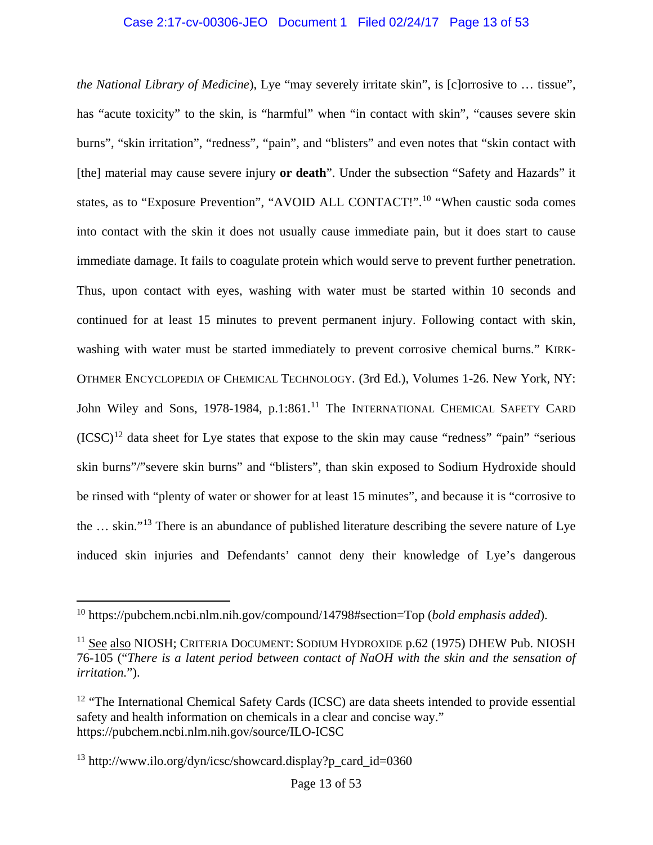### Case 2:17-cv-00306-JEO Document 1 Filed 02/24/17 Page 13 of 53

*the National Library of Medicine*), Lye "may severely irritate skin", is [c]orrosive to … tissue", has "acute toxicity" to the skin, is "harmful" when "in contact with skin", "causes severe skin burns", "skin irritation", "redness", "pain", and "blisters" and even notes that "skin contact with [the] material may cause severe injury **or death**". Under the subsection "Safety and Hazards" it states, as to "Exposure Prevention", "AVOID ALL CONTACT!".<sup>[10](#page-12-0)</sup> "When caustic soda comes into contact with the skin it does not usually cause immediate pain, but it does start to cause immediate damage. It fails to coagulate protein which would serve to prevent further penetration. Thus, upon contact with eyes, washing with water must be started within 10 seconds and continued for at least 15 minutes to prevent permanent injury. Following contact with skin, washing with water must be started immediately to prevent corrosive chemical burns." KIRK-OTHMER ENCYCLOPEDIA OF CHEMICAL TECHNOLOGY. (3rd Ed.), Volumes 1-26. New York, NY: John Wiley and Sons, 1978-1984, p.1:861.<sup>[11](#page-12-1)</sup> The INTERNATIONAL CHEMICAL SAFETY CARD  $(ICSC)^{12}$  $(ICSC)^{12}$  $(ICSC)^{12}$  data sheet for Lye states that expose to the skin may cause "redness" "pain" "serious skin burns"/"severe skin burns" and "blisters", than skin exposed to Sodium Hydroxide should be rinsed with "plenty of water or shower for at least 15 minutes", and because it is "corrosive to the … skin."[13](#page-12-3) There is an abundance of published literature describing the severe nature of Lye induced skin injuries and Defendants' cannot deny their knowledge of Lye's dangerous

<span id="page-12-0"></span><sup>10</sup> https://pubchem.ncbi.nlm.nih.gov/compound/14798#section=Top (*bold emphasis added*).

<span id="page-12-1"></span><sup>11</sup> See also NIOSH; CRITERIA DOCUMENT: SODIUM HYDROXIDE p.62 (1975) DHEW Pub. NIOSH 76-105 ("*There is a latent period between contact of NaOH with the skin and the sensation of irritation.*").

<span id="page-12-2"></span><sup>&</sup>lt;sup>12</sup> "The International Chemical Safety Cards (ICSC) are data sheets intended to provide essential safety and health information on chemicals in a clear and concise way." https://pubchem.ncbi.nlm.nih.gov/source/ILO-ICSC

<span id="page-12-3"></span><sup>&</sup>lt;sup>13</sup> http://www.ilo.org/dyn/icsc/showcard.display?p\_card\_id=0360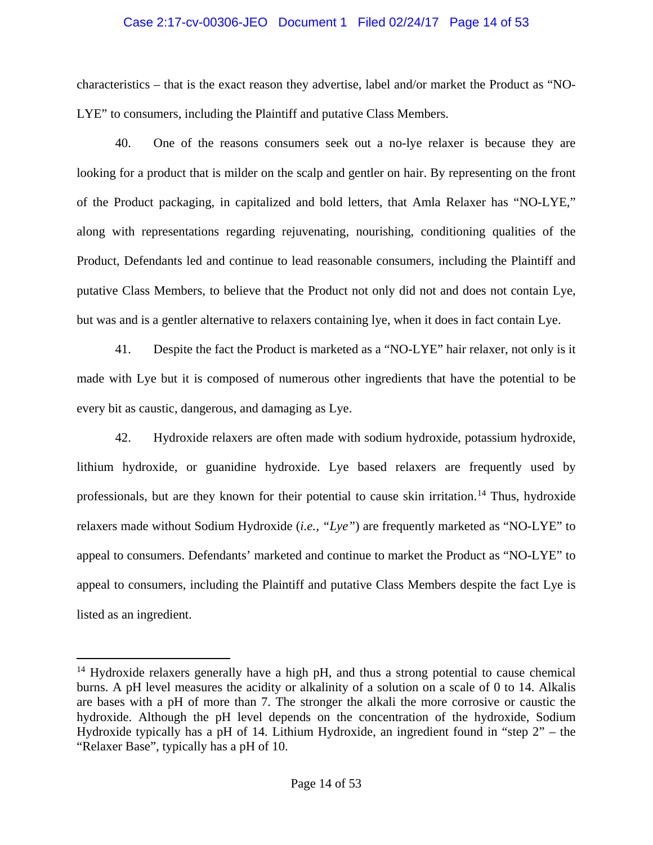### Case 2:17-cv-00306-JEO Document 1 Filed 02/24/17 Page 14 of 53

characteristics – that is the exact reason they advertise, label and/or market the Product as "NO-LYE" to consumers, including the Plaintiff and putative Class Members.

40. One of the reasons consumers seek out a no-lye relaxer is because they are looking for a product that is milder on the scalp and gentler on hair. By representing on the front of the Product packaging, in capitalized and bold letters, that Amla Relaxer has "NO-LYE," along with representations regarding rejuvenating, nourishing, conditioning qualities of the Product, Defendants led and continue to lead reasonable consumers, including the Plaintiff and putative Class Members, to believe that the Product not only did not and does not contain Lye, but was and is a gentler alternative to relaxers containing lye, when it does in fact contain Lye.

41. Despite the fact the Product is marketed as a "NO-LYE" hair relaxer, not only is it made with Lye but it is composed of numerous other ingredients that have the potential to be every bit as caustic, dangerous, and damaging as Lye.

42. Hydroxide relaxers are often made with sodium hydroxide, potassium hydroxide, lithium hydroxide, or guanidine hydroxide. Lye based relaxers are frequently used by professionals, but are they known for their potential to cause skin irritation.<sup>[14](#page-13-0)</sup> Thus, hydroxide relaxers made without Sodium Hydroxide (*i.e., "Lye"*) are frequently marketed as "NO-LYE" to appeal to consumers. Defendants' marketed and continue to market the Product as "NO-LYE" to appeal to consumers, including the Plaintiff and putative Class Members despite the fact Lye is listed as an ingredient.

<span id="page-13-0"></span><sup>&</sup>lt;sup>14</sup> Hydroxide relaxers generally have a high pH, and thus a strong potential to cause chemical burns. A pH level measures the acidity or alkalinity of a solution on a scale of 0 to 14. Alkalis are bases with a pH of more than 7. The stronger the alkali the more corrosive or caustic the hydroxide. Although the pH level depends on the concentration of the hydroxide, Sodium Hydroxide typically has a pH of 14. Lithium Hydroxide, an ingredient found in "step 2" – the "Relaxer Base", typically has a pH of 10.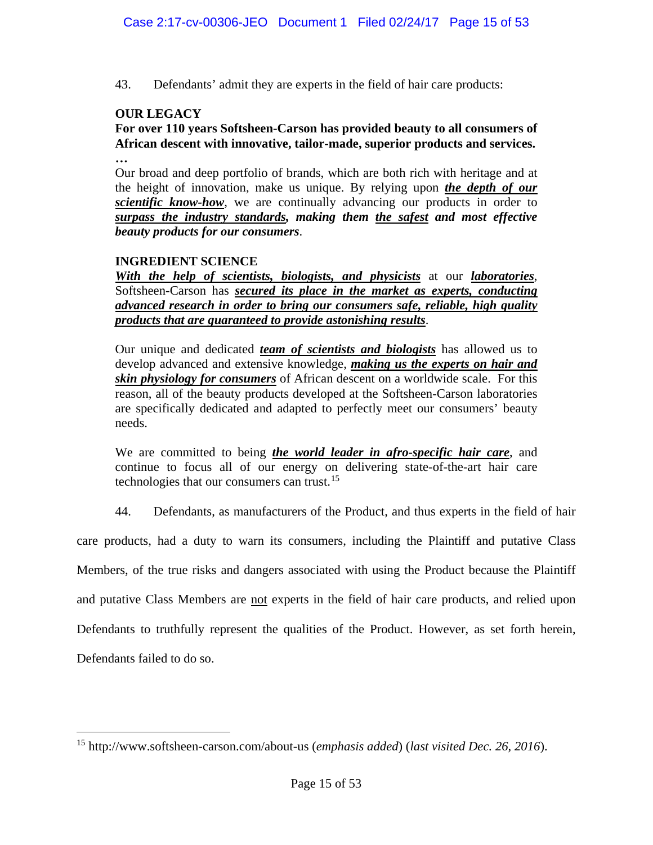43. Defendants' admit they are experts in the field of hair care products:

# **OUR LEGACY**

**For over 110 years Softsheen-Carson has provided beauty to all consumers of African descent with innovative, tailor-made, superior products and services. …**

Our broad and deep portfolio of brands, which are both rich with heritage and at the height of innovation, make us unique. By relying upon *the depth of our scientific know-how*, we are continually advancing our products in order to *surpass the industry standards, making them the safest and most effective beauty products for our consumers*.

## **INGREDIENT SCIENCE**

*With the help of scientists, biologists, and physicists* at our *laboratories*, Softsheen-Carson has *secured its place in the market as experts, conducting advanced research in order to bring our consumers safe, reliable, high quality products that are guaranteed to provide astonishing results*.

Our unique and dedicated *team of scientists and biologists* has allowed us to develop advanced and extensive knowledge, *making us the experts on hair and skin physiology for consumers* of African descent on a worldwide scale. For this reason, all of the beauty products developed at the Softsheen-Carson laboratories are specifically dedicated and adapted to perfectly meet our consumers' beauty needs.

We are committed to being *the world leader in afro-specific hair care*, and continue to focus all of our energy on delivering state-of-the-art hair care technologies that our consumers can trust.<sup>[15](#page-14-0)</sup>

44. Defendants, as manufacturers of the Product, and thus experts in the field of hair

care products, had a duty to warn its consumers, including the Plaintiff and putative Class

Members, of the true risks and dangers associated with using the Product because the Plaintiff

and putative Class Members are not experts in the field of hair care products, and relied upon

Defendants to truthfully represent the qualities of the Product. However, as set forth herein,

Defendants failed to do so.

<span id="page-14-0"></span><sup>15</sup> http://www.softsheen-carson.com/about-us (*emphasis added*) (*last visited Dec. 26, 2016*).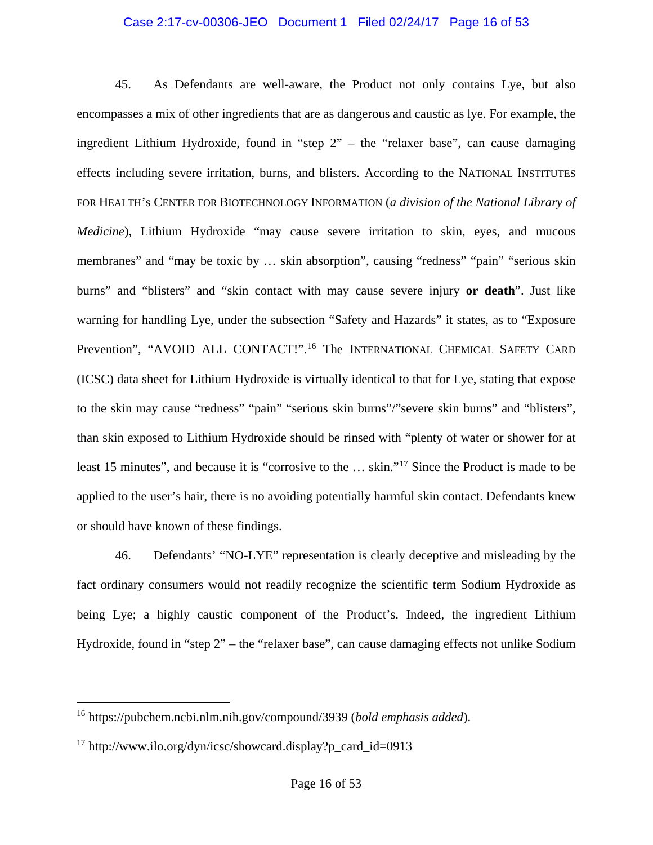#### Case 2:17-cv-00306-JEO Document 1 Filed 02/24/17 Page 16 of 53

45. As Defendants are well-aware, the Product not only contains Lye, but also encompasses a mix of other ingredients that are as dangerous and caustic as lye. For example, the ingredient Lithium Hydroxide, found in "step 2" – the "relaxer base", can cause damaging effects including severe irritation, burns, and blisters. According to the NATIONAL INSTITUTES FOR HEALTH's CENTER FOR BIOTECHNOLOGY INFORMATION (*a division of the National Library of Medicine*), Lithium Hydroxide "may cause severe irritation to skin, eyes, and mucous membranes" and "may be toxic by … skin absorption", causing "redness" "pain" "serious skin burns" and "blisters" and "skin contact with may cause severe injury **or death**". Just like warning for handling Lye, under the subsection "Safety and Hazards" it states, as to "Exposure Prevention", "AVOID ALL CONTACT!".<sup>[16](#page-15-0)</sup> The INTERNATIONAL CHEMICAL SAFETY CARD (ICSC) data sheet for Lithium Hydroxide is virtually identical to that for Lye, stating that expose to the skin may cause "redness" "pain" "serious skin burns"/"severe skin burns" and "blisters", than skin exposed to Lithium Hydroxide should be rinsed with "plenty of water or shower for at least 15 minutes", and because it is "corrosive to the … skin."[17](#page-15-1) Since the Product is made to be applied to the user's hair, there is no avoiding potentially harmful skin contact. Defendants knew or should have known of these findings.

46. Defendants' "NO-LYE" representation is clearly deceptive and misleading by the fact ordinary consumers would not readily recognize the scientific term Sodium Hydroxide as being Lye; a highly caustic component of the Product's. Indeed, the ingredient Lithium Hydroxide, found in "step 2" – the "relaxer base", can cause damaging effects not unlike Sodium

<span id="page-15-0"></span><sup>16</sup> https://pubchem.ncbi.nlm.nih.gov/compound/3939 (*bold emphasis added*).

<span id="page-15-1"></span><sup>&</sup>lt;sup>17</sup> http://www.ilo.org/dyn/icsc/showcard.display?p\_card\_id=0913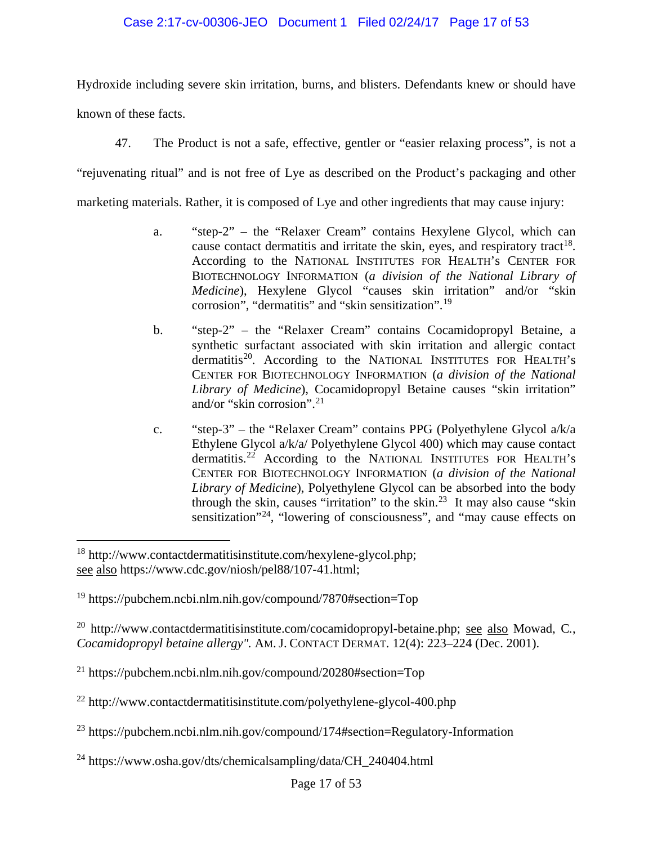## Case 2:17-cv-00306-JEO Document 1 Filed 02/24/17 Page 17 of 53

Hydroxide including severe skin irritation, burns, and blisters. Defendants knew or should have

known of these facts.

 $\overline{a}$ 

47. The Product is not a safe, effective, gentler or "easier relaxing process", is not a

"rejuvenating ritual" and is not free of Lye as described on the Product's packaging and other

marketing materials. Rather, it is composed of Lye and other ingredients that may cause injury:

- a. "step-2" the "Relaxer Cream" contains Hexylene Glycol, which can cause contact dermatitis and irritate the skin, eyes, and respiratory tract<sup>18</sup>. According to the NATIONAL INSTITUTES FOR HEALTH's CENTER FOR BIOTECHNOLOGY INFORMATION (*a division of the National Library of Medicine*), Hexylene Glycol "causes skin irritation" and/or "skin corrosion", "dermatitis" and "skin sensitization". [19](#page-16-1)
- b. "step-2" the "Relaxer Cream" contains Cocamidopropyl Betaine, a synthetic surfactant associated with skin irritation and allergic contact dermatitis<sup>20</sup>. According to the NATIONAL INSTITUTES FOR HEALTH's CENTER FOR BIOTECHNOLOGY INFORMATION (*a division of the National Library of Medicine*), Cocamidopropyl Betaine causes "skin irritation" and/or "skin corrosion". $^{21}$  $^{21}$  $^{21}$
- c. "step-3" the "Relaxer Cream" contains PPG (Polyethylene Glycol a/k/a Ethylene Glycol a/k/a/ Polyethylene Glycol 400) which may cause contact dermatitis.<sup>[22](#page-16-4)</sup> According to the NATIONAL INSTITUTES FOR HEALTH's CENTER FOR BIOTECHNOLOGY INFORMATION (*a division of the National Library of Medicine*), Polyethylene Glycol can be absorbed into the body through the skin, causes "irritation" to the skin.<sup>[23](#page-16-5)</sup> It may also cause "skin sensitization<sup> $24$ </sup>, "lowering of consciousness", and "may cause effects on

<span id="page-16-0"></span><sup>18</sup> http://www.contactdermatitisinstitute.com/hexylene-glycol.php; see also https://www.cdc.gov/niosh/pel88/107-41.html;

<span id="page-16-1"></span><sup>19</sup> https://pubchem.ncbi.nlm.nih.gov/compound/7870#section=Top

<span id="page-16-2"></span><sup>20</sup> http://www.contactdermatitisinstitute.com/cocamidopropyl-betaine.php; see also Mowad, C*.*, *Cocamidopropyl betaine allergy".* AM. J. CONTACT DERMAT*.* 12(4): 223–224 (Dec. 2001).

<span id="page-16-3"></span> $^{21}$  https://pubchem.ncbi.nlm.nih.gov/compound/20280#section=Top

<span id="page-16-4"></span><sup>22</sup> http://www.contactdermatitisinstitute.com/polyethylene-glycol-400.php

<span id="page-16-5"></span><sup>23</sup> https://pubchem.ncbi.nlm.nih.gov/compound/174#section=Regulatory-Information

<span id="page-16-6"></span><sup>&</sup>lt;sup>24</sup> https://www.osha.gov/dts/chemicalsampling/data/CH\_240404.html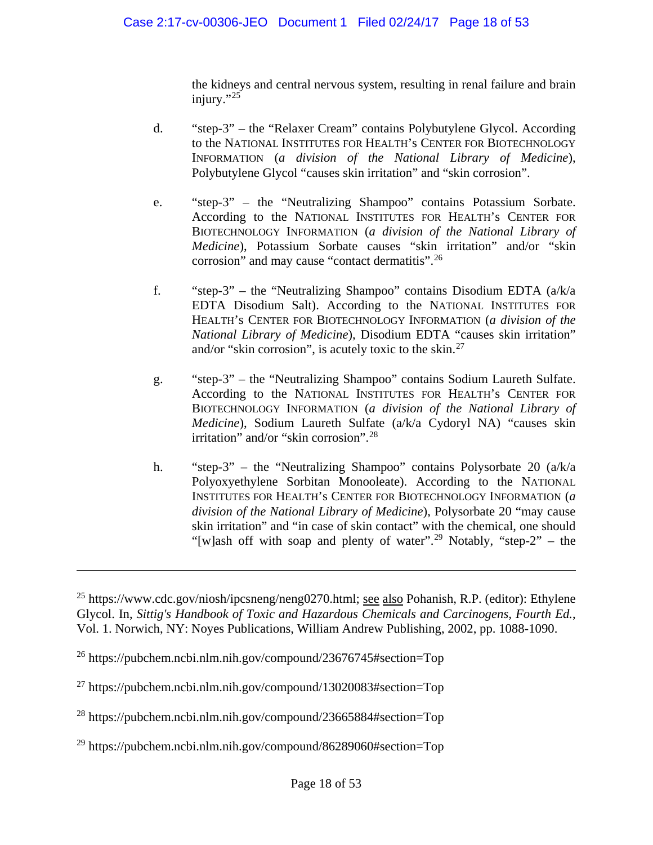the kidneys and central nervous system, resulting in renal failure and brain injury."<sup>[25](#page-17-0)</sup>

- d. "step-3" the "Relaxer Cream" contains Polybutylene Glycol. According to the NATIONAL INSTITUTES FOR HEALTH's CENTER FOR BIOTECHNOLOGY INFORMATION (*a division of the National Library of Medicine*), Polybutylene Glycol "causes skin irritation" and "skin corrosion".
- e. "step-3" the "Neutralizing Shampoo" contains Potassium Sorbate. According to the NATIONAL INSTITUTES FOR HEALTH's CENTER FOR BIOTECHNOLOGY INFORMATION (*a division of the National Library of Medicine*), Potassium Sorbate causes "skin irritation" and/or "skin corrosion" and may cause "contact dermatitis".[26](#page-17-1)
- f. "step-3" the "Neutralizing Shampoo" contains Disodium EDTA (a/k/a EDTA Disodium Salt). According to the NATIONAL INSTITUTES FOR HEALTH's CENTER FOR BIOTECHNOLOGY INFORMATION (*a division of the National Library of Medicine*), Disodium EDTA "causes skin irritation" and/or "skin corrosion", is acutely toxic to the skin.[27](#page-17-2)
- g. "step-3" the "Neutralizing Shampoo" contains Sodium Laureth Sulfate. According to the NATIONAL INSTITUTES FOR HEALTH's CENTER FOR BIOTECHNOLOGY INFORMATION (*a division of the National Library of Medicine*), Sodium Laureth Sulfate (a/k/a Cydoryl NA) "causes skin irritation" and/or "skin corrosion".[28](#page-17-3)
- h. "step-3" the "Neutralizing Shampoo" contains Polysorbate 20 (a/k/a Polyoxyethylene Sorbitan Monooleate). According to the NATIONAL INSTITUTES FOR HEALTH's CENTER FOR BIOTECHNOLOGY INFORMATION (*a division of the National Library of Medicine*), Polysorbate 20 "may cause skin irritation" and "in case of skin contact" with the chemical, one should "[w]ash off with soap and plenty of water".<sup>[29](#page-17-4)</sup> Notably, "step-2" – the

<span id="page-17-0"></span><sup>&</sup>lt;sup>25</sup> https://www.cdc.gov/niosh/ipcsneng/neng0270.html; see also Pohanish, R.P. (editor): Ethylene Glycol. In, *Sittig's Handbook of Toxic and Hazardous Chemicals and Carcinogens, Fourth Ed.*, Vol. 1. Norwich, NY: Noyes Publications, William Andrew Publishing, 2002, pp. 1088-1090.

<span id="page-17-1"></span> $^{26}$  https://pubchem.ncbi.nlm.nih.gov/compound/23676745#section=Top

<span id="page-17-2"></span><sup>&</sup>lt;sup>27</sup> https://pubchem.ncbi.nlm.nih.gov/compound/13020083#section=Top

<span id="page-17-3"></span><sup>28</sup> https://pubchem.ncbi.nlm.nih.gov/compound/23665884#section=Top

<span id="page-17-4"></span> $^{29}$  https://pubchem.ncbi.nlm.nih.gov/compound/86289060#section=Top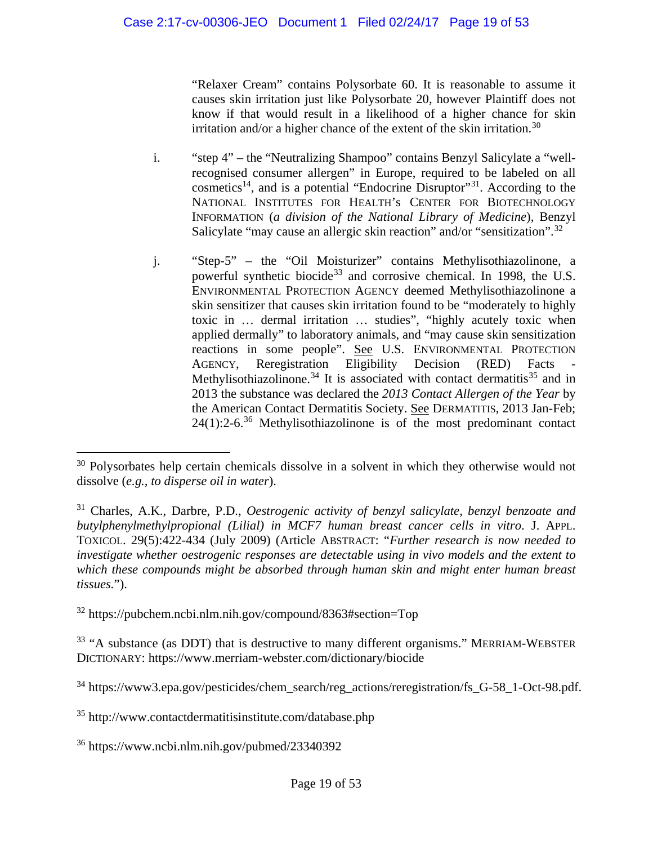"Relaxer Cream" contains Polysorbate 60. It is reasonable to assume it causes skin irritation just like Polysorbate 20, however Plaintiff does not know if that would result in a likelihood of a higher chance for skin irritation and/or a higher chance of the extent of the skin irritation.<sup>[30](#page-18-0)</sup>

- i. "step 4" the "Neutralizing Shampoo" contains Benzyl Salicylate a "wellrecognised consumer allergen" in Europe, required to be labeled on all cosmetics<sup>14</sup>, and is a potential "Endocrine Disruptor"<sup>[31](#page-18-1)</sup>. According to the NATIONAL INSTITUTES FOR HEALTH's CENTER FOR BIOTECHNOLOGY INFORMATION (*a division of the National Library of Medicine*), Benzyl Salicylate "may cause an allergic skin reaction" and/or "sensitization".[32](#page-18-2)
- j. "Step-5" the "Oil Moisturizer" contains Methylisothiazolinone, a powerful synthetic biocide<sup>[33](#page-18-3)</sup> and corrosive chemical. In 1998, the U.S. ENVIRONMENTAL PROTECTION AGENCY deemed Methylisothiazolinone a skin sensitizer that causes skin irritation found to be "moderately to highly toxic in … dermal irritation … studies", "highly acutely toxic when applied dermally" to laboratory animals, and "may cause skin sensitization reactions in some people". See U.S. ENVIRONMENTAL PROTECTION AGENCY, Reregistration Eligibility Decision (RED) Facts Methylisothiazolinone.<sup>[34](#page-18-4)</sup> It is associated with contact dermatitis<sup>[35](#page-18-5)</sup> and in 2013 the substance was declared the *2013 Contact Allergen of the Year* by the American Contact Dermatitis Society. See DERMATITIS, 2013 Jan-Feb;  $24(1)$ :2-6.<sup>[36](#page-18-6)</sup> Methylisothiazolinone is of the most predominant contact

<span id="page-18-0"></span> $30$  Polysorbates help certain chemicals dissolve in a solvent in which they otherwise would not dissolve (*e.g., to disperse oil in water*).

<span id="page-18-1"></span><sup>31</sup> Charles, A.K., Darbre, P.D., *Oestrogenic activity of benzyl salicylate, benzyl benzoate and butylphenylmethylpropional (Lilial) in MCF7 human breast cancer cells in vitro*. J. APPL. TOXICOL. 29(5):422-434 (July 2009) (Article ABSTRACT: "*Further research is now needed to investigate whether oestrogenic responses are detectable using in vivo models and the extent to which these compounds might be absorbed through human skin and might enter human breast tissues.*").

<span id="page-18-2"></span><sup>32</sup> https://pubchem.ncbi.nlm.nih.gov/compound/8363#section=Top

<span id="page-18-3"></span><sup>&</sup>lt;sup>33</sup> "A substance (as DDT) that is destructive to many different organisms." MERRIAM-WEBSTER DICTIONARY: https://www.merriam-webster.com/dictionary/biocide

<span id="page-18-4"></span><sup>&</sup>lt;sup>34</sup> https://www3.epa.gov/pesticides/chem\_search/reg\_actions/reregistration/fs\_G-58\_1-Oct-98.pdf.

<span id="page-18-5"></span><sup>35</sup> http://www.contactdermatitisinstitute.com/database.php

<span id="page-18-6"></span><sup>36</sup> https://www.ncbi.nlm.nih.gov/pubmed/23340392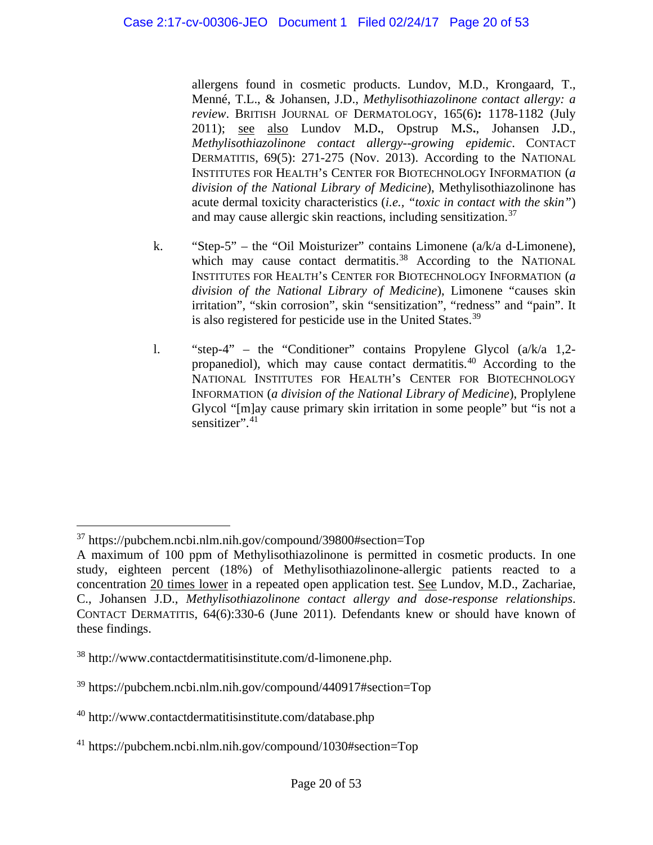allergens found in cosmetic products. Lundov, M.D., Krongaard, T., Menné, T.L., & Johansen, J.D., *Methylisothiazolinone contact allergy: a review*. BRITISH JOURNAL OF DERMATOLOGY, 165(6)**:** 1178-1182 (July 2011); see also [Lundov M](https://www.ncbi.nlm.nih.gov/pubmed/?term=Lundov%20MD%5BAuthor%5D&cauthor=true&cauthor_uid=24117738)**.**D**.**, [Opstrup M](https://www.ncbi.nlm.nih.gov/pubmed/?term=Opstrup%20MS%5BAuthor%5D&cauthor=true&cauthor_uid=24117738)**.**S**.**, [Johansen J](https://www.ncbi.nlm.nih.gov/pubmed/?term=Johansen%20JD%5BAuthor%5D&cauthor=true&cauthor_uid=24117738)**.**D., *Methylisothiazolinone contact allergy--growing epidemic*. CONTACT DERMATITIS, 69(5): 271-275 (Nov. 2013). According to the NATIONAL INSTITUTES FOR HEALTH's CENTER FOR BIOTECHNOLOGY INFORMATION (*a division of the National Library of Medicine*), Methylisothiazolinone has acute dermal toxicity characteristics (*i.e., "toxic in contact with the skin"*) and may cause allergic skin reactions, including sensitization.<sup>[37](#page-19-0)</sup>

- k. "Step-5" the "Oil Moisturizer" contains Limonene (a/k/a d-Limonene), which may cause contact dermatitis.<sup>[38](#page-19-1)</sup> According to the NATIONAL INSTITUTES FOR HEALTH's CENTER FOR BIOTECHNOLOGY INFORMATION (*a division of the National Library of Medicine*), Limonene "causes skin irritation", "skin corrosion", skin "sensitization", "redness" and "pain". It is also registered for pesticide use in the United States.<sup>[39](#page-19-2)</sup>
- l. "step-4" the "Conditioner" contains Propylene Glycol (a/k/a 1,2- propanediol), which may cause contact dermatitis.<sup>[40](#page-19-3)</sup> According to the NATIONAL INSTITUTES FOR HEALTH's CENTER FOR BIOTECHNOLOGY INFORMATION (*a division of the National Library of Medicine*), Proplylene Glycol "[m]ay cause primary skin irritation in some people" but "is not a sensitizer".<sup>[41](#page-19-4)</sup>

<span id="page-19-0"></span> $\overline{a}$ <sup>37</sup> https://pubchem.ncbi.nlm.nih.gov/compound/39800#section=Top

A maximum of 100 ppm of Methylisothiazolinone is permitted in cosmetic products. In one study, eighteen percent (18%) of Methylisothiazolinone-allergic patients reacted to a concentration 20 times lower in a repeated open application test. See [Lundov, M.D.](https://www.ncbi.nlm.nih.gov/pubmed/?term=Lundov%20MD%5BAuthor%5D&cauthor=true&cauthor_uid=21504436), [Zachariae,](https://www.ncbi.nlm.nih.gov/pubmed/?term=Zachariae%20C%5BAuthor%5D&cauthor=true&cauthor_uid=21504436)  [C.](https://www.ncbi.nlm.nih.gov/pubmed/?term=Zachariae%20C%5BAuthor%5D&cauthor=true&cauthor_uid=21504436), [Johansen J.D.](https://www.ncbi.nlm.nih.gov/pubmed/?term=Johansen%20JD%5BAuthor%5D&cauthor=true&cauthor_uid=21504436), *Methylisothiazolinone contact allergy and dose-response relationships*. CONTACT DERMATITIS, 64(6):330-6 (June 2011). Defendants knew or should have known of these findings.

<span id="page-19-1"></span><sup>38</sup> http://www.contactdermatitisinstitute.com/d-limonene.php.

<span id="page-19-2"></span><sup>39</sup> https://pubchem.ncbi.nlm.nih.gov/compound/440917#section=Top

<span id="page-19-3"></span><sup>40</sup> http://www.contactdermatitisinstitute.com/database.php

<span id="page-19-4"></span><sup>41</sup> https://pubchem.ncbi.nlm.nih.gov/compound/1030#section=Top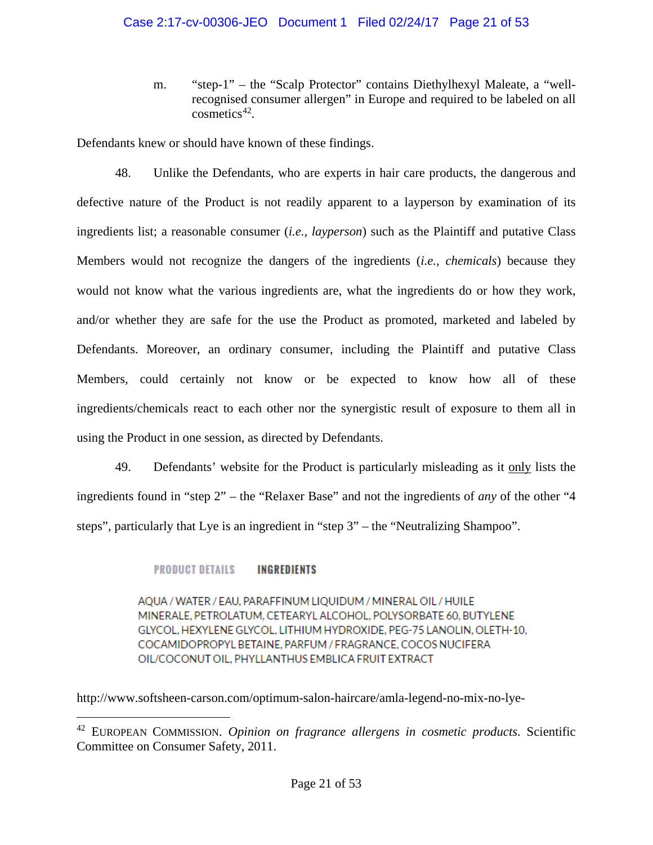m. "step-1" – the "Scalp Protector" contains Diethylhexyl Maleate, a "wellrecognised consumer allergen" in Europe and required to be labeled on all cosmetics $42$ .

Defendants knew or should have known of these findings.

48. Unlike the Defendants, who are experts in hair care products, the dangerous and defective nature of the Product is not readily apparent to a layperson by examination of its ingredients list; a reasonable consumer (*i.e., layperson*) such as the Plaintiff and putative Class Members would not recognize the dangers of the ingredients (*i.e., chemicals*) because they would not know what the various ingredients are, what the ingredients do or how they work, and/or whether they are safe for the use the Product as promoted, marketed and labeled by Defendants. Moreover, an ordinary consumer, including the Plaintiff and putative Class Members, could certainly not know or be expected to know how all of these ingredients/chemicals react to each other nor the synergistic result of exposure to them all in using the Product in one session, as directed by Defendants.

49. Defendants' website for the Product is particularly misleading as it only lists the ingredients found in "step 2" – the "Relaxer Base" and not the ingredients of *any* of the other "4 steps", particularly that Lye is an ingredient in "step 3" – the "Neutralizing Shampoo".

#### **PRODUCT DETAILS INGREDIENTS**

 $\overline{a}$ 

AQUA / WATER / EAU, PARAFFINUM LIQUIDUM / MINERAL OIL / HUILE MINERALE, PETROLATUM, CETEARYL ALCOHOL, POLYSORBATE 60, BUTYLENE GLYCOL, HEXYLENE GLYCOL, LITHIUM HYDROXIDE, PEG-75 LANOLIN, OLETH-10, COCAMIDOPROPYL BETAINE, PARFUM / FRAGRANCE, COCOS NUCIFERA OIL/COCONUT OIL, PHYLLANTHUS EMBLICA FRUIT EXTRACT

http://www.softsheen-carson.com/optimum-salon-haircare/amla-legend-no-mix-no-lye-

<span id="page-20-0"></span><sup>42</sup> EUROPEAN COMMISSION. *Opinion on fragrance allergens in cosmetic products*. Scientific Committee on Consumer Safety, 2011.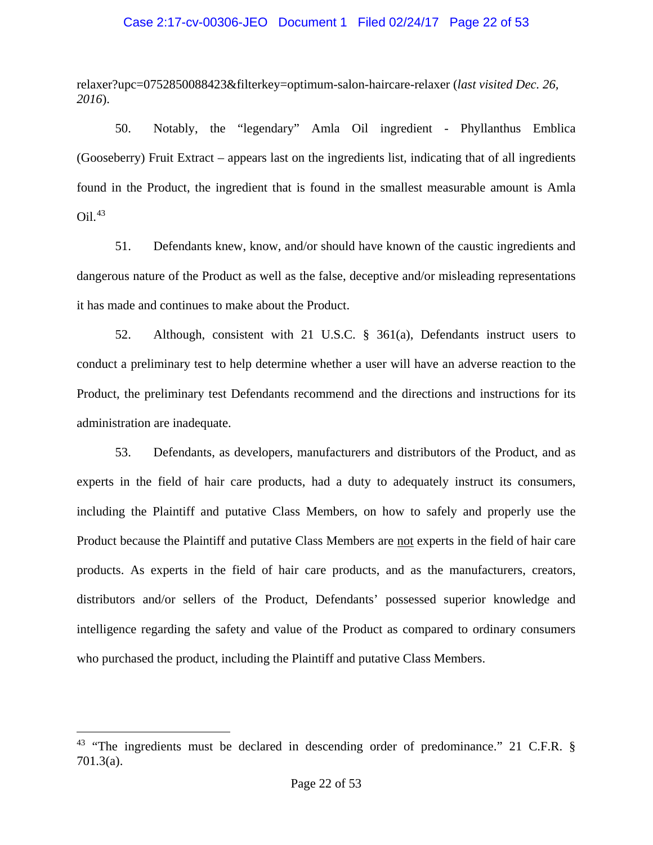#### Case 2:17-cv-00306-JEO Document 1 Filed 02/24/17 Page 22 of 53

relaxer?upc=0752850088423&filterkey=optimum-salon-haircare-relaxer (*last visited Dec. 26, 2016*).

50. Notably, the "legendary" Amla Oil ingredient - Phyllanthus Emblica (Gooseberry) Fruit Extract – appears last on the ingredients list, indicating that of all ingredients found in the Product, the ingredient that is found in the smallest measurable amount is Amla Oil. [43](#page-21-0)

51. Defendants knew, know, and/or should have known of the caustic ingredients and dangerous nature of the Product as well as the false, deceptive and/or misleading representations it has made and continues to make about the Product.

52. Although, consistent with 21 U.S.C. § 361(a), Defendants instruct users to conduct a preliminary test to help determine whether a user will have an adverse reaction to the Product, the preliminary test Defendants recommend and the directions and instructions for its administration are inadequate.

53. Defendants, as developers, manufacturers and distributors of the Product, and as experts in the field of hair care products, had a duty to adequately instruct its consumers, including the Plaintiff and putative Class Members, on how to safely and properly use the Product because the Plaintiff and putative Class Members are not experts in the field of hair care products. As experts in the field of hair care products, and as the manufacturers, creators, distributors and/or sellers of the Product, Defendants' possessed superior knowledge and intelligence regarding the safety and value of the Product as compared to ordinary consumers who purchased the product, including the Plaintiff and putative Class Members.

<span id="page-21-0"></span><sup>&</sup>lt;sup>43</sup> "The ingredients must be declared in descending order of predominance." 21 C.F.R. § 701.3(a).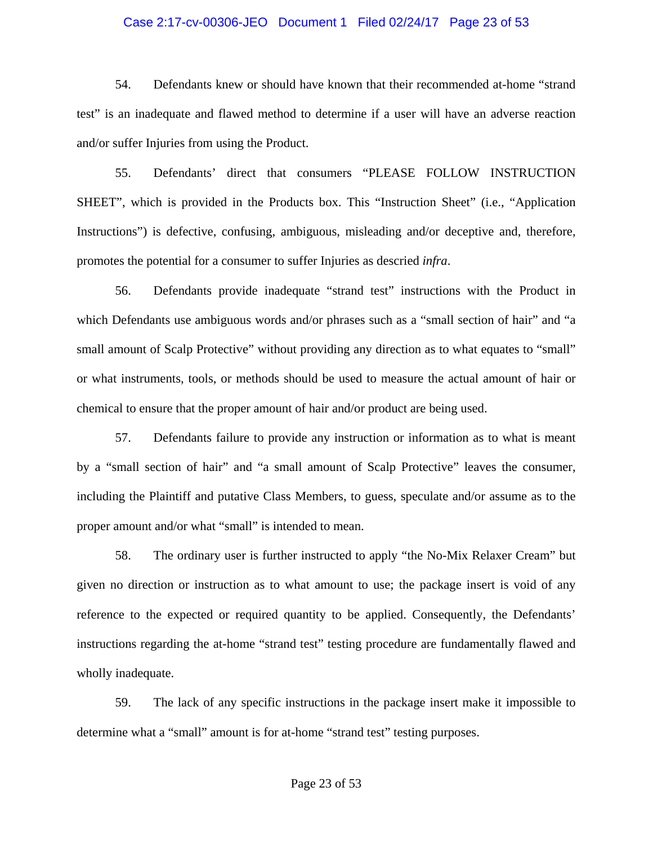### Case 2:17-cv-00306-JEO Document 1 Filed 02/24/17 Page 23 of 53

54. Defendants knew or should have known that their recommended at-home "strand test" is an inadequate and flawed method to determine if a user will have an adverse reaction and/or suffer Injuries from using the Product.

55. Defendants' direct that consumers "PLEASE FOLLOW INSTRUCTION SHEET", which is provided in the Products box. This "Instruction Sheet" (i.e., "Application Instructions") is defective, confusing, ambiguous, misleading and/or deceptive and, therefore, promotes the potential for a consumer to suffer Injuries as descried *infra*.

56. Defendants provide inadequate "strand test" instructions with the Product in which Defendants use ambiguous words and/or phrases such as a "small section of hair" and "a small amount of Scalp Protective" without providing any direction as to what equates to "small" or what instruments, tools, or methods should be used to measure the actual amount of hair or chemical to ensure that the proper amount of hair and/or product are being used.

57. Defendants failure to provide any instruction or information as to what is meant by a "small section of hair" and "a small amount of Scalp Protective" leaves the consumer, including the Plaintiff and putative Class Members, to guess, speculate and/or assume as to the proper amount and/or what "small" is intended to mean.

58. The ordinary user is further instructed to apply "the No-Mix Relaxer Cream" but given no direction or instruction as to what amount to use; the package insert is void of any reference to the expected or required quantity to be applied. Consequently, the Defendants' instructions regarding the at-home "strand test" testing procedure are fundamentally flawed and wholly inadequate.

59. The lack of any specific instructions in the package insert make it impossible to determine what a "small" amount is for at-home "strand test" testing purposes.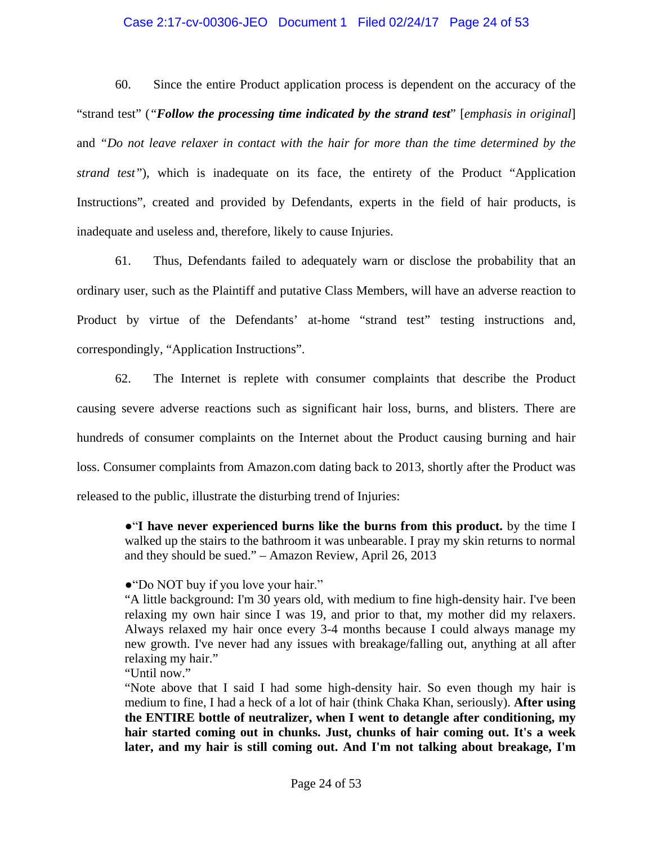#### Case 2:17-cv-00306-JEO Document 1 Filed 02/24/17 Page 24 of 53

60. Since the entire Product application process is dependent on the accuracy of the "strand test" (*"Follow the processing time indicated by the strand test*" [*emphasis in original*] and *"Do not leave relaxer in contact with the hair for more than the time determined by the strand test"*), which is inadequate on its face, the entirety of the Product "Application Instructions", created and provided by Defendants, experts in the field of hair products, is inadequate and useless and, therefore, likely to cause Injuries.

61. Thus, Defendants failed to adequately warn or disclose the probability that an ordinary user, such as the Plaintiff and putative Class Members, will have an adverse reaction to Product by virtue of the Defendants' at-home "strand test" testing instructions and, correspondingly, "Application Instructions".

62. The Internet is replete with consumer complaints that describe the Product causing severe adverse reactions such as significant hair loss, burns, and blisters. There are hundreds of consumer complaints on the Internet about the Product causing burning and hair loss. Consumer complaints from Amazon.com dating back to 2013, shortly after the Product was released to the public, illustrate the disturbing trend of Injuries:

●"**I have never experienced burns like the burns from this product.** by the time I walked up the stairs to the bathroom it was unbearable. I pray my skin returns to normal and they should be sued." – Amazon Review, April 26, 2013

#### ●"Do NOT buy if you love your hair."

"A little background: I'm 30 years old, with medium to fine high-density hair. I've been relaxing my own hair since I was 19, and prior to that, my mother did my relaxers. Always relaxed my hair once every 3-4 months because I could always manage my new growth. I've never had any issues with breakage/falling out, anything at all after relaxing my hair."

"Until now."

"Note above that I said I had some high-density hair. So even though my hair is medium to fine, I had a heck of a lot of hair (think Chaka Khan, seriously). **After using the ENTIRE bottle of neutralizer, when I went to detangle after conditioning, my hair started coming out in chunks. Just, chunks of hair coming out. It's a week later, and my hair is still coming out. And I'm not talking about breakage, I'm**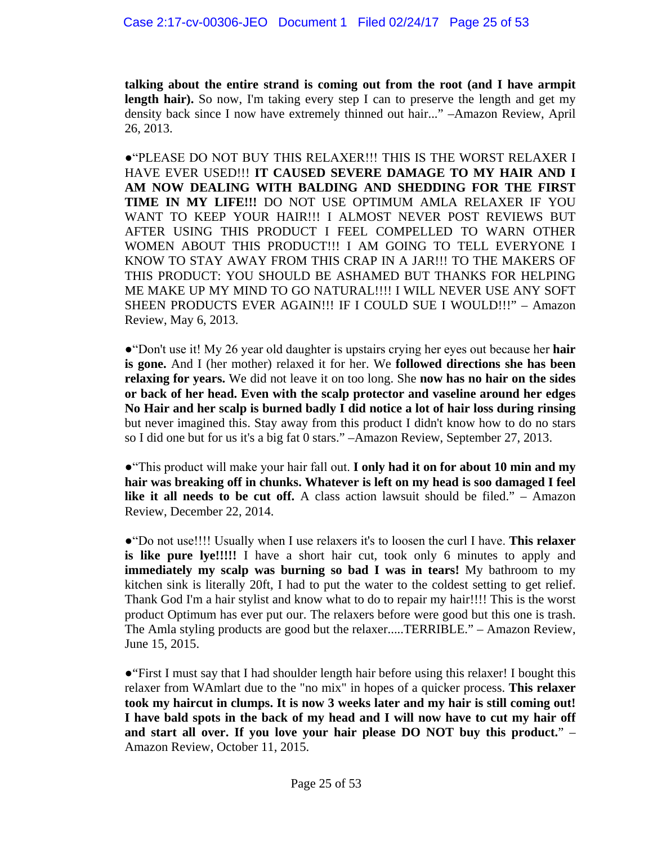**talking about the entire strand is coming out from the root (and I have armpit**  length hair). So now, I'm taking every step I can to preserve the length and get my density back since I now have extremely thinned out hair..." –Amazon Review, April 26, 2013.

●"PLEASE DO NOT BUY THIS RELAXER!!! THIS IS THE WORST RELAXER I HAVE EVER USED!!! **IT CAUSED SEVERE DAMAGE TO MY HAIR AND I AM NOW DEALING WITH BALDING AND SHEDDING FOR THE FIRST TIME IN MY LIFE!!!** DO NOT USE OPTIMUM AMLA RELAXER IF YOU WANT TO KEEP YOUR HAIR!!! I ALMOST NEVER POST REVIEWS BUT AFTER USING THIS PRODUCT I FEEL COMPELLED TO WARN OTHER WOMEN ABOUT THIS PRODUCT!!! I AM GOING TO TELL EVERYONE I KNOW TO STAY AWAY FROM THIS CRAP IN A JAR!!! TO THE MAKERS OF THIS PRODUCT: YOU SHOULD BE ASHAMED BUT THANKS FOR HELPING ME MAKE UP MY MIND TO GO NATURAL!!!! I WILL NEVER USE ANY SOFT SHEEN PRODUCTS EVER AGAIN!!! IF I COULD SUE I WOULD!!!" – Amazon Review, May 6, 2013.

●"Don't use it! My 26 year old daughter is upstairs crying her eyes out because her **hair is gone.** And I (her mother) relaxed it for her. We **followed directions she has been relaxing for years.** We did not leave it on too long. She **now has no hair on the sides or back of her head. Even with the scalp protector and vaseline around her edges No Hair and her scalp is burned badly I did notice a lot of hair loss during rinsing**  but never imagined this. Stay away from this product I didn't know how to do no stars so I did one but for us it's a big fat 0 stars." –Amazon Review, September 27, 2013.

●"This product will make your hair fall out. **I only had it on for about 10 min and my hair was breaking off in chunks. Whatever is left on my head is soo damaged I feel like it all needs to be cut off.** A class action lawsuit should be filed." – Amazon Review, December 22, 2014.

●"Do not use!!!! Usually when I use relaxers it's to loosen the curl I have. **This relaxer is like pure lye!!!!!** I have a short hair cut, took only 6 minutes to apply and **immediately my scalp was burning so bad I was in tears!** My bathroom to my kitchen sink is literally 20ft, I had to put the water to the coldest setting to get relief. Thank God I'm a hair stylist and know what to do to repair my hair!!!! This is the worst product Optimum has ever put our. The relaxers before were good but this one is trash. The Amla styling products are good but the relaxer.....TERRIBLE." – Amazon Review, June 15, 2015.

●"First I must say that I had shoulder length hair before using this relaxer! I bought this relaxer from WAmlart due to the "no mix" in hopes of a quicker process. **This relaxer took my haircut in clumps. It is now 3 weeks later and my hair is still coming out! I have bald spots in the back of my head and I will now have to cut my hair off and start all over. If you love your hair please DO NOT buy this product.**" – Amazon Review, October 11, 2015.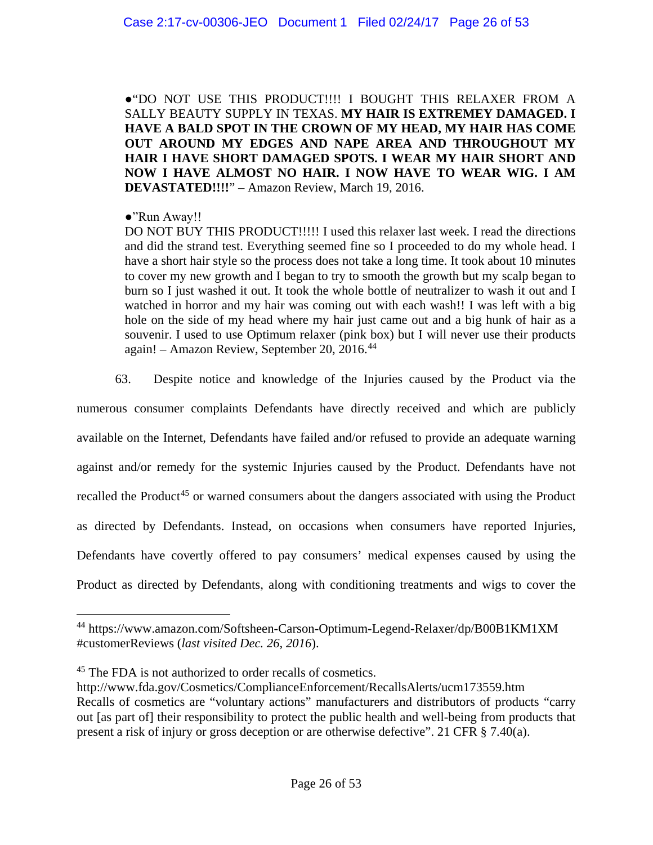●"DO NOT USE THIS PRODUCT!!!! I BOUGHT THIS RELAXER FROM A SALLY BEAUTY SUPPLY IN TEXAS. **MY HAIR IS EXTREMEY DAMAGED. I HAVE A BALD SPOT IN THE CROWN OF MY HEAD, MY HAIR HAS COME OUT AROUND MY EDGES AND NAPE AREA AND THROUGHOUT MY HAIR I HAVE SHORT DAMAGED SPOTS. I WEAR MY HAIR SHORT AND NOW I HAVE ALMOST NO HAIR. I NOW HAVE TO WEAR WIG. I AM DEVASTATED!!!!**" – Amazon Review, March 19, 2016.

## ●"Run Away!!

DO NOT BUY THIS PRODUCT!!!!! I used this relaxer last week. I read the directions and did the strand test. Everything seemed fine so I proceeded to do my whole head. I have a short hair style so the process does not take a long time. It took about 10 minutes to cover my new growth and I began to try to smooth the growth but my scalp began to burn so I just washed it out. It took the whole bottle of neutralizer to wash it out and I watched in horror and my hair was coming out with each wash!! I was left with a big hole on the side of my head where my hair just came out and a big hunk of hair as a souvenir. I used to use Optimum relaxer (pink box) but I will never use their products again! – Amazon Review, September 20, 2016.[44](#page-25-0)

63. Despite notice and knowledge of the Injuries caused by the Product via the

numerous consumer complaints Defendants have directly received and which are publicly available on the Internet, Defendants have failed and/or refused to provide an adequate warning against and/or remedy for the systemic Injuries caused by the Product. Defendants have not recalled the Product<sup>[45](#page-25-1)</sup> or warned consumers about the dangers associated with using the Product as directed by Defendants. Instead, on occasions when consumers have reported Injuries, Defendants have covertly offered to pay consumers' medical expenses caused by using the Product as directed by Defendants, along with conditioning treatments and wigs to cover the

<span id="page-25-0"></span><sup>44</sup> https://www.amazon.com/Softsheen-Carson-Optimum-Legend-Relaxer/dp/B00B1KM1XM #customerReviews (*last visited Dec. 26, 2016*).

<span id="page-25-1"></span><sup>&</sup>lt;sup>45</sup> The FDA is not authorized to order recalls of cosmetics.

http://www.fda.gov/Cosmetics/ComplianceEnforcement/RecallsAlerts/ucm173559.htm Recalls of cosmetics are "voluntary actions" manufacturers and distributors of products "carry out [as part of] their responsibility to protect the public health and well-being from products that present a risk of injury or gross deception or are otherwise defective". 21 CFR § 7.40(a).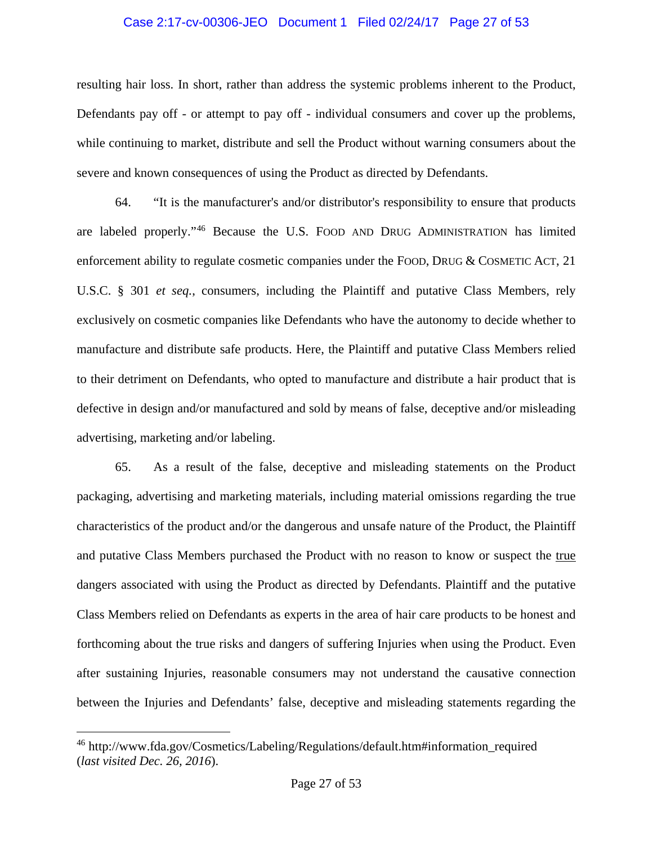#### Case 2:17-cv-00306-JEO Document 1 Filed 02/24/17 Page 27 of 53

resulting hair loss. In short, rather than address the systemic problems inherent to the Product, Defendants pay off - or attempt to pay off - individual consumers and cover up the problems, while continuing to market, distribute and sell the Product without warning consumers about the severe and known consequences of using the Product as directed by Defendants.

64. "It is the manufacturer's and/or distributor's responsibility to ensure that products are labeled properly."[46](#page-26-0) Because the U.S. FOOD AND DRUG ADMINISTRATION has limited enforcement ability to regulate cosmetic companies under the FOOD, DRUG & COSMETIC ACT, 21 U.S.C. § 301 *et seq.*, consumers, including the Plaintiff and putative Class Members, rely exclusively on cosmetic companies like Defendants who have the autonomy to decide whether to manufacture and distribute safe products. Here, the Plaintiff and putative Class Members relied to their detriment on Defendants, who opted to manufacture and distribute a hair product that is defective in design and/or manufactured and sold by means of false, deceptive and/or misleading advertising, marketing and/or labeling.

65. As a result of the false, deceptive and misleading statements on the Product packaging, advertising and marketing materials, including material omissions regarding the true characteristics of the product and/or the dangerous and unsafe nature of the Product, the Plaintiff and putative Class Members purchased the Product with no reason to know or suspect the true dangers associated with using the Product as directed by Defendants. Plaintiff and the putative Class Members relied on Defendants as experts in the area of hair care products to be honest and forthcoming about the true risks and dangers of suffering Injuries when using the Product. Even after sustaining Injuries, reasonable consumers may not understand the causative connection between the Injuries and Defendants' false, deceptive and misleading statements regarding the

<span id="page-26-0"></span><sup>46</sup> http://www.fda.gov/Cosmetics/Labeling/Regulations/default.htm#information\_required (*last visited Dec. 26, 2016*).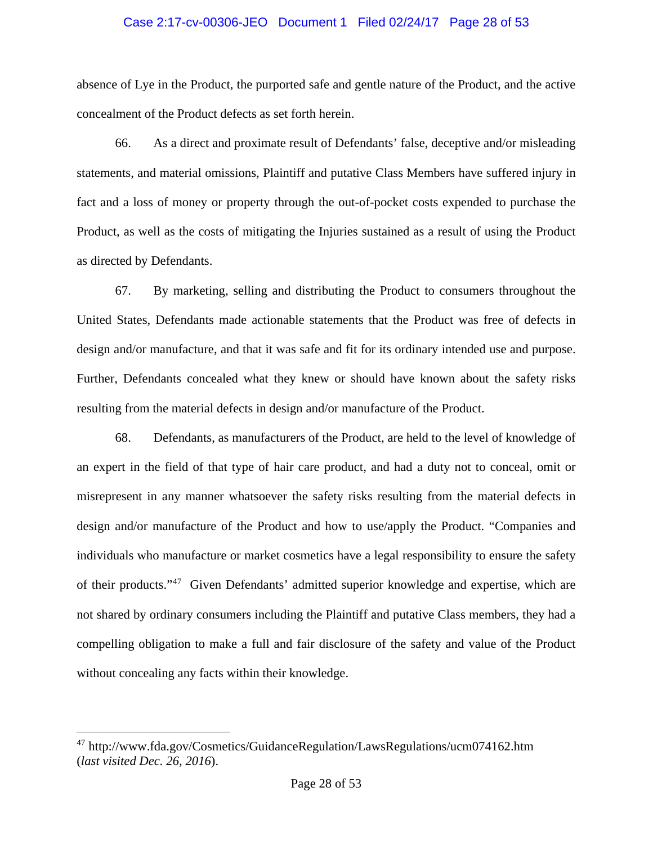### Case 2:17-cv-00306-JEO Document 1 Filed 02/24/17 Page 28 of 53

absence of Lye in the Product, the purported safe and gentle nature of the Product, and the active concealment of the Product defects as set forth herein.

66. As a direct and proximate result of Defendants' false, deceptive and/or misleading statements, and material omissions, Plaintiff and putative Class Members have suffered injury in fact and a loss of money or property through the out-of-pocket costs expended to purchase the Product, as well as the costs of mitigating the Injuries sustained as a result of using the Product as directed by Defendants.

67. By marketing, selling and distributing the Product to consumers throughout the United States, Defendants made actionable statements that the Product was free of defects in design and/or manufacture, and that it was safe and fit for its ordinary intended use and purpose. Further, Defendants concealed what they knew or should have known about the safety risks resulting from the material defects in design and/or manufacture of the Product.

68. Defendants, as manufacturers of the Product, are held to the level of knowledge of an expert in the field of that type of hair care product, and had a duty not to conceal, omit or misrepresent in any manner whatsoever the safety risks resulting from the material defects in design and/or manufacture of the Product and how to use/apply the Product. "Companies and individuals who manufacture or market cosmetics have a legal responsibility to ensure the safety of their products."[47](#page-27-0) Given Defendants' admitted superior knowledge and expertise, which are not shared by ordinary consumers including the Plaintiff and putative Class members, they had a compelling obligation to make a full and fair disclosure of the safety and value of the Product without concealing any facts within their knowledge.

<span id="page-27-0"></span><sup>47</sup> http://www.fda.gov/Cosmetics/GuidanceRegulation/LawsRegulations/ucm074162.htm (*last visited Dec. 26, 2016*).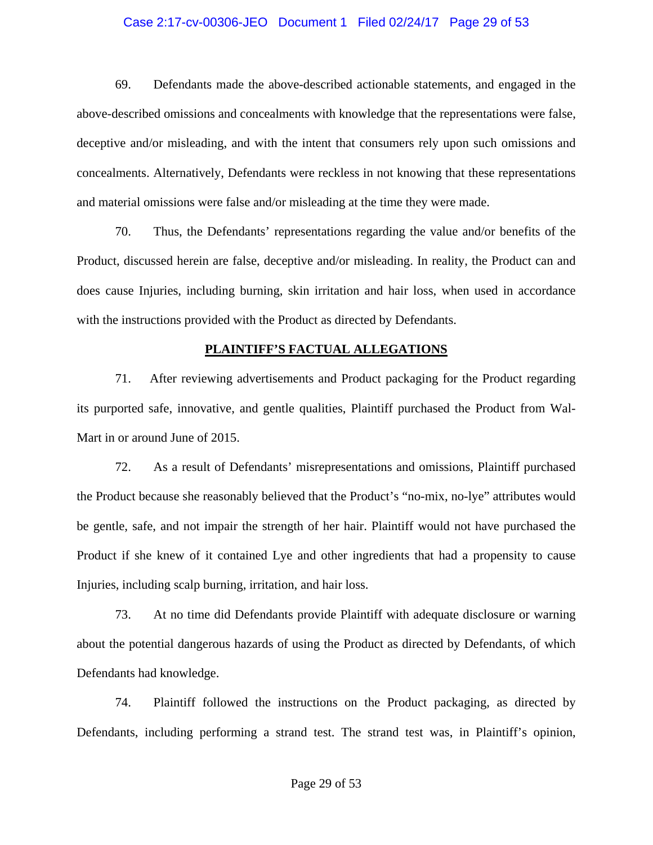### Case 2:17-cv-00306-JEO Document 1 Filed 02/24/17 Page 29 of 53

69. Defendants made the above-described actionable statements, and engaged in the above-described omissions and concealments with knowledge that the representations were false, deceptive and/or misleading, and with the intent that consumers rely upon such omissions and concealments. Alternatively, Defendants were reckless in not knowing that these representations and material omissions were false and/or misleading at the time they were made.

70. Thus, the Defendants' representations regarding the value and/or benefits of the Product, discussed herein are false, deceptive and/or misleading. In reality, the Product can and does cause Injuries, including burning, skin irritation and hair loss, when used in accordance with the instructions provided with the Product as directed by Defendants.

#### **PLAINTIFF'S FACTUAL ALLEGATIONS**

71. After reviewing advertisements and Product packaging for the Product regarding its purported safe, innovative, and gentle qualities, Plaintiff purchased the Product from Wal-Mart in or around June of 2015.

72. As a result of Defendants' misrepresentations and omissions, Plaintiff purchased the Product because she reasonably believed that the Product's "no-mix, no-lye" attributes would be gentle, safe, and not impair the strength of her hair. Plaintiff would not have purchased the Product if she knew of it contained Lye and other ingredients that had a propensity to cause Injuries, including scalp burning, irritation, and hair loss.

73. At no time did Defendants provide Plaintiff with adequate disclosure or warning about the potential dangerous hazards of using the Product as directed by Defendants, of which Defendants had knowledge.

74. Plaintiff followed the instructions on the Product packaging, as directed by Defendants, including performing a strand test. The strand test was, in Plaintiff's opinion,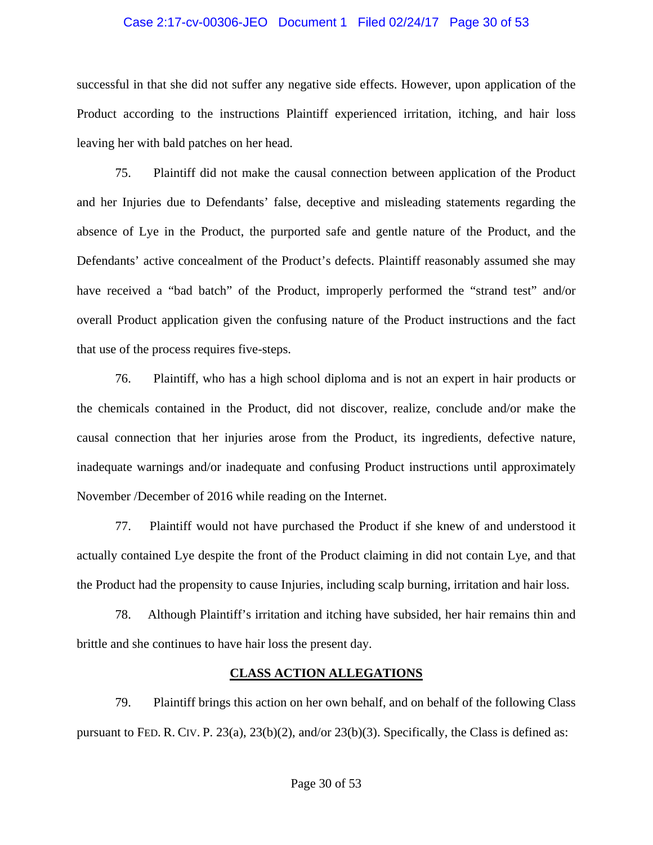#### Case 2:17-cv-00306-JEO Document 1 Filed 02/24/17 Page 30 of 53

successful in that she did not suffer any negative side effects. However, upon application of the Product according to the instructions Plaintiff experienced irritation, itching, and hair loss leaving her with bald patches on her head.

75. Plaintiff did not make the causal connection between application of the Product and her Injuries due to Defendants' false, deceptive and misleading statements regarding the absence of Lye in the Product, the purported safe and gentle nature of the Product, and the Defendants' active concealment of the Product's defects. Plaintiff reasonably assumed she may have received a "bad batch" of the Product, improperly performed the "strand test" and/or overall Product application given the confusing nature of the Product instructions and the fact that use of the process requires five-steps.

76. Plaintiff, who has a high school diploma and is not an expert in hair products or the chemicals contained in the Product, did not discover, realize, conclude and/or make the causal connection that her injuries arose from the Product, its ingredients, defective nature, inadequate warnings and/or inadequate and confusing Product instructions until approximately November /December of 2016 while reading on the Internet.

77. Plaintiff would not have purchased the Product if she knew of and understood it actually contained Lye despite the front of the Product claiming in did not contain Lye, and that the Product had the propensity to cause Injuries, including scalp burning, irritation and hair loss.

78. Although Plaintiff's irritation and itching have subsided, her hair remains thin and brittle and she continues to have hair loss the present day.

#### **CLASS ACTION ALLEGATIONS**

79. Plaintiff brings this action on her own behalf, and on behalf of the following Class pursuant to FED. R. CIV. P. 23(a), 23(b)(2), and/or 23(b)(3). Specifically, the Class is defined as: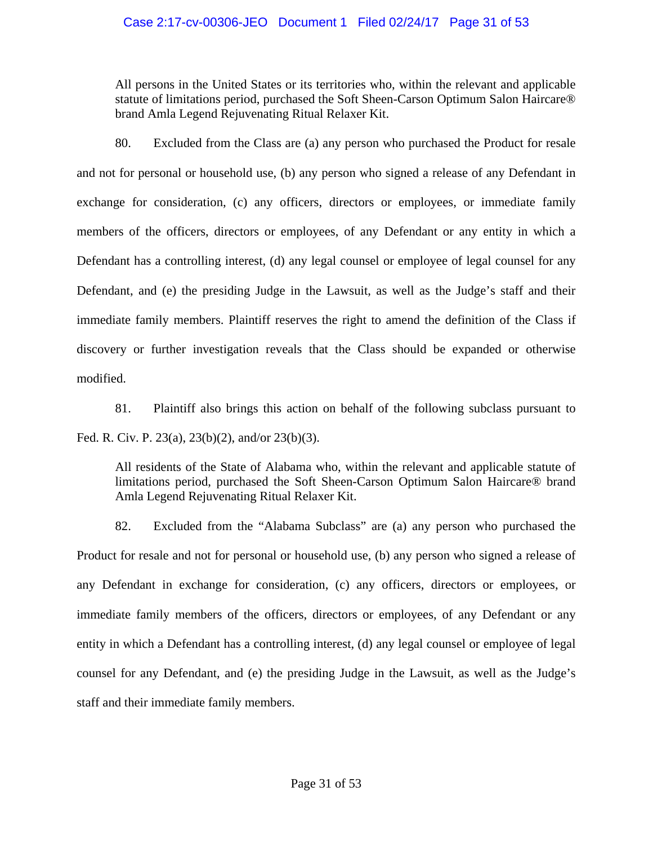### Case 2:17-cv-00306-JEO Document 1 Filed 02/24/17 Page 31 of 53

All persons in the United States or its territories who, within the relevant and applicable statute of limitations period, purchased the Soft Sheen-Carson Optimum Salon Haircare® brand Amla Legend Rejuvenating Ritual Relaxer Kit.

80. Excluded from the Class are (a) any person who purchased the Product for resale and not for personal or household use, (b) any person who signed a release of any Defendant in exchange for consideration, (c) any officers, directors or employees, or immediate family members of the officers, directors or employees, of any Defendant or any entity in which a Defendant has a controlling interest, (d) any legal counsel or employee of legal counsel for any Defendant, and (e) the presiding Judge in the Lawsuit, as well as the Judge's staff and their immediate family members. Plaintiff reserves the right to amend the definition of the Class if discovery or further investigation reveals that the Class should be expanded or otherwise modified.

81. Plaintiff also brings this action on behalf of the following subclass pursuant to Fed. R. Civ. P. 23(a), 23(b)(2), and/or 23(b)(3).

All residents of the State of Alabama who, within the relevant and applicable statute of limitations period, purchased the Soft Sheen-Carson Optimum Salon Haircare® brand Amla Legend Rejuvenating Ritual Relaxer Kit.

82. Excluded from the "Alabama Subclass" are (a) any person who purchased the Product for resale and not for personal or household use, (b) any person who signed a release of any Defendant in exchange for consideration, (c) any officers, directors or employees, or immediate family members of the officers, directors or employees, of any Defendant or any entity in which a Defendant has a controlling interest, (d) any legal counsel or employee of legal counsel for any Defendant, and (e) the presiding Judge in the Lawsuit, as well as the Judge's staff and their immediate family members.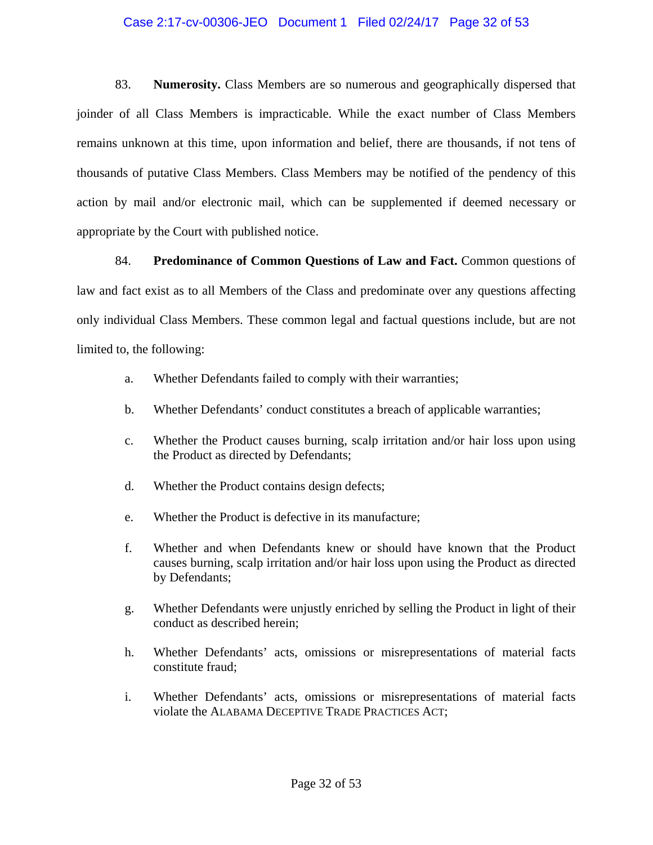### Case 2:17-cv-00306-JEO Document 1 Filed 02/24/17 Page 32 of 53

83. **Numerosity.** Class Members are so numerous and geographically dispersed that joinder of all Class Members is impracticable. While the exact number of Class Members remains unknown at this time, upon information and belief, there are thousands, if not tens of thousands of putative Class Members. Class Members may be notified of the pendency of this action by mail and/or electronic mail, which can be supplemented if deemed necessary or appropriate by the Court with published notice.

84. **Predominance of Common Questions of Law and Fact.** Common questions of law and fact exist as to all Members of the Class and predominate over any questions affecting only individual Class Members. These common legal and factual questions include, but are not limited to, the following:

- a. Whether Defendants failed to comply with their warranties;
- b. Whether Defendants' conduct constitutes a breach of applicable warranties;
- c. Whether the Product causes burning, scalp irritation and/or hair loss upon using the Product as directed by Defendants;
- d. Whether the Product contains design defects;
- e. Whether the Product is defective in its manufacture;
- f. Whether and when Defendants knew or should have known that the Product causes burning, scalp irritation and/or hair loss upon using the Product as directed by Defendants;
- g. Whether Defendants were unjustly enriched by selling the Product in light of their conduct as described herein;
- h. Whether Defendants' acts, omissions or misrepresentations of material facts constitute fraud;
- i. Whether Defendants' acts, omissions or misrepresentations of material facts violate the ALABAMA DECEPTIVE TRADE PRACTICES ACT;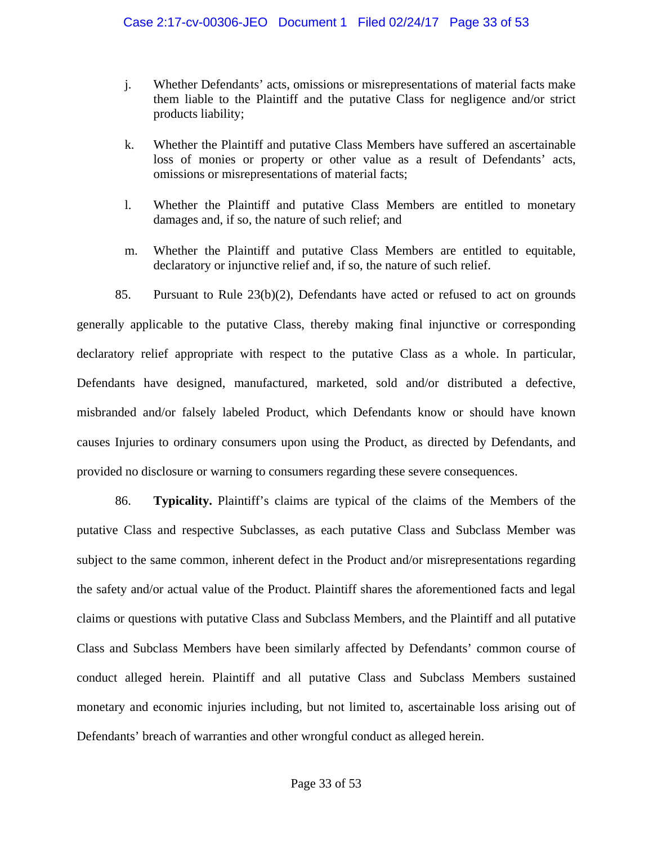- j. Whether Defendants' acts, omissions or misrepresentations of material facts make them liable to the Plaintiff and the putative Class for negligence and/or strict products liability;
- k. Whether the Plaintiff and putative Class Members have suffered an ascertainable loss of monies or property or other value as a result of Defendants' acts, omissions or misrepresentations of material facts;
- l. Whether the Plaintiff and putative Class Members are entitled to monetary damages and, if so, the nature of such relief; and
- m. Whether the Plaintiff and putative Class Members are entitled to equitable, declaratory or injunctive relief and, if so, the nature of such relief.

85. Pursuant to Rule 23(b)(2), Defendants have acted or refused to act on grounds generally applicable to the putative Class, thereby making final injunctive or corresponding declaratory relief appropriate with respect to the putative Class as a whole. In particular, Defendants have designed, manufactured, marketed, sold and/or distributed a defective, misbranded and/or falsely labeled Product, which Defendants know or should have known causes Injuries to ordinary consumers upon using the Product, as directed by Defendants, and provided no disclosure or warning to consumers regarding these severe consequences.

86. **Typicality.** Plaintiff's claims are typical of the claims of the Members of the putative Class and respective Subclasses, as each putative Class and Subclass Member was subject to the same common, inherent defect in the Product and/or misrepresentations regarding the safety and/or actual value of the Product. Plaintiff shares the aforementioned facts and legal claims or questions with putative Class and Subclass Members, and the Plaintiff and all putative Class and Subclass Members have been similarly affected by Defendants' common course of conduct alleged herein. Plaintiff and all putative Class and Subclass Members sustained monetary and economic injuries including, but not limited to, ascertainable loss arising out of Defendants' breach of warranties and other wrongful conduct as alleged herein.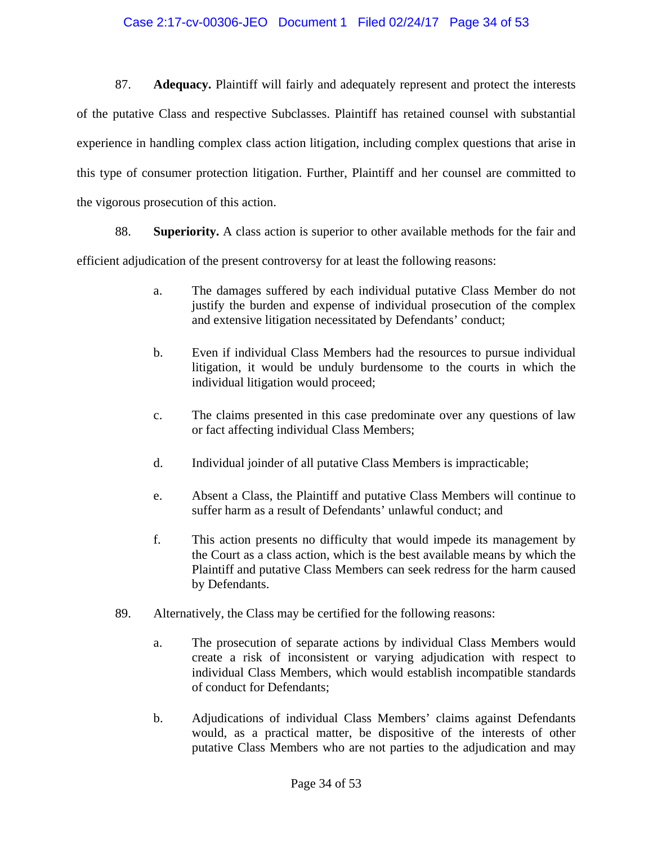### Case 2:17-cv-00306-JEO Document 1 Filed 02/24/17 Page 34 of 53

87. **Adequacy.** Plaintiff will fairly and adequately represent and protect the interests of the putative Class and respective Subclasses. Plaintiff has retained counsel with substantial experience in handling complex class action litigation, including complex questions that arise in this type of consumer protection litigation. Further, Plaintiff and her counsel are committed to the vigorous prosecution of this action.

88. **Superiority.** A class action is superior to other available methods for the fair and efficient adjudication of the present controversy for at least the following reasons:

- a. The damages suffered by each individual putative Class Member do not justify the burden and expense of individual prosecution of the complex and extensive litigation necessitated by Defendants' conduct;
- b. Even if individual Class Members had the resources to pursue individual litigation, it would be unduly burdensome to the courts in which the individual litigation would proceed;
- c. The claims presented in this case predominate over any questions of law or fact affecting individual Class Members;
- d. Individual joinder of all putative Class Members is impracticable;
- e. Absent a Class, the Plaintiff and putative Class Members will continue to suffer harm as a result of Defendants' unlawful conduct; and
- f. This action presents no difficulty that would impede its management by the Court as a class action, which is the best available means by which the Plaintiff and putative Class Members can seek redress for the harm caused by Defendants.
- 89. Alternatively, the Class may be certified for the following reasons:
	- a. The prosecution of separate actions by individual Class Members would create a risk of inconsistent or varying adjudication with respect to individual Class Members, which would establish incompatible standards of conduct for Defendants;
	- b. Adjudications of individual Class Members' claims against Defendants would, as a practical matter, be dispositive of the interests of other putative Class Members who are not parties to the adjudication and may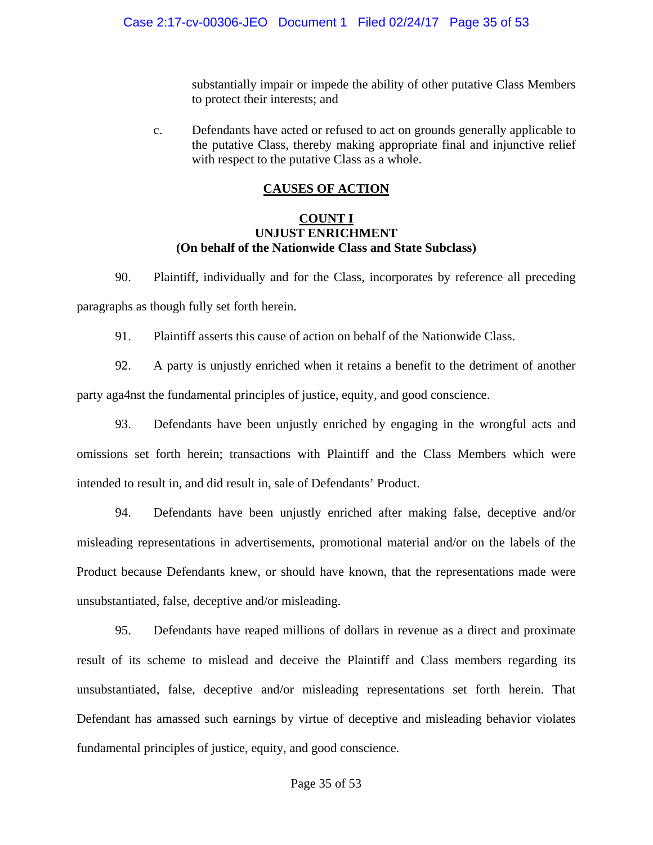substantially impair or impede the ability of other putative Class Members to protect their interests; and

c. Defendants have acted or refused to act on grounds generally applicable to the putative Class, thereby making appropriate final and injunctive relief with respect to the putative Class as a whole.

#### **CAUSES OF ACTION**

#### **COUNT I UNJUST ENRICHMENT (On behalf of the Nationwide Class and State Subclass)**

90. Plaintiff, individually and for the Class, incorporates by reference all preceding paragraphs as though fully set forth herein.

91. Plaintiff asserts this cause of action on behalf of the Nationwide Class.

92. A party is unjustly enriched when it retains a benefit to the detriment of another party aga4nst the fundamental principles of justice, equity, and good conscience.

93. Defendants have been unjustly enriched by engaging in the wrongful acts and omissions set forth herein; transactions with Plaintiff and the Class Members which were intended to result in, and did result in, sale of Defendants' Product.

94. Defendants have been unjustly enriched after making false, deceptive and/or misleading representations in advertisements, promotional material and/or on the labels of the Product because Defendants knew, or should have known, that the representations made were unsubstantiated, false, deceptive and/or misleading.

95. Defendants have reaped millions of dollars in revenue as a direct and proximate result of its scheme to mislead and deceive the Plaintiff and Class members regarding its unsubstantiated, false, deceptive and/or misleading representations set forth herein. That Defendant has amassed such earnings by virtue of deceptive and misleading behavior violates fundamental principles of justice, equity, and good conscience.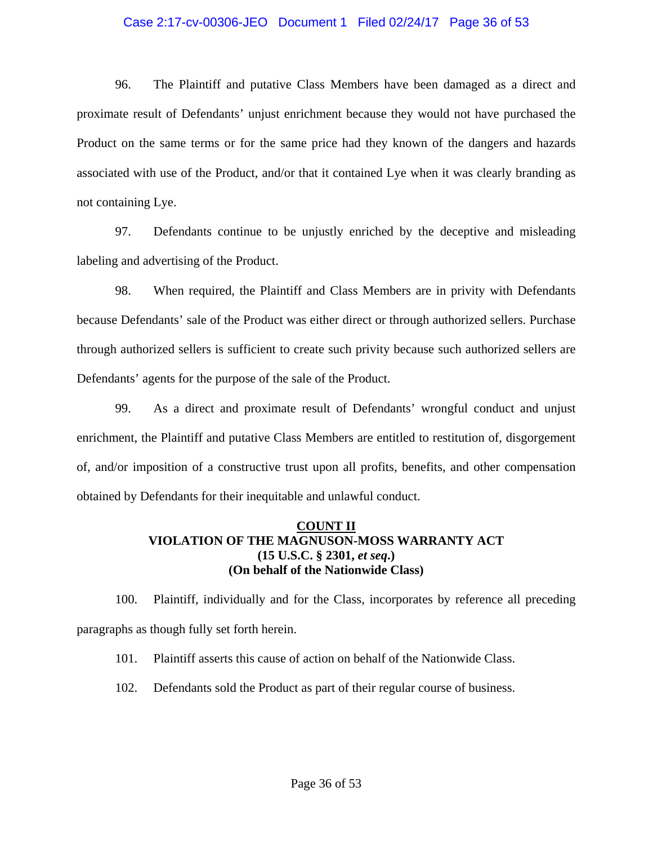### Case 2:17-cv-00306-JEO Document 1 Filed 02/24/17 Page 36 of 53

96. The Plaintiff and putative Class Members have been damaged as a direct and proximate result of Defendants' unjust enrichment because they would not have purchased the Product on the same terms or for the same price had they known of the dangers and hazards associated with use of the Product, and/or that it contained Lye when it was clearly branding as not containing Lye.

97. Defendants continue to be unjustly enriched by the deceptive and misleading labeling and advertising of the Product.

98. When required, the Plaintiff and Class Members are in privity with Defendants because Defendants' sale of the Product was either direct or through authorized sellers. Purchase through authorized sellers is sufficient to create such privity because such authorized sellers are Defendants' agents for the purpose of the sale of the Product.

99. As a direct and proximate result of Defendants' wrongful conduct and unjust enrichment, the Plaintiff and putative Class Members are entitled to restitution of, disgorgement of, and/or imposition of a constructive trust upon all profits, benefits, and other compensation obtained by Defendants for their inequitable and unlawful conduct.

### **COUNT II VIOLATION OF THE MAGNUSON-MOSS WARRANTY ACT (15 U.S.C. § 2301,** *et seq***.) (On behalf of the Nationwide Class)**

100. Plaintiff, individually and for the Class, incorporates by reference all preceding paragraphs as though fully set forth herein.

101. Plaintiff asserts this cause of action on behalf of the Nationwide Class.

102. Defendants sold the Product as part of their regular course of business.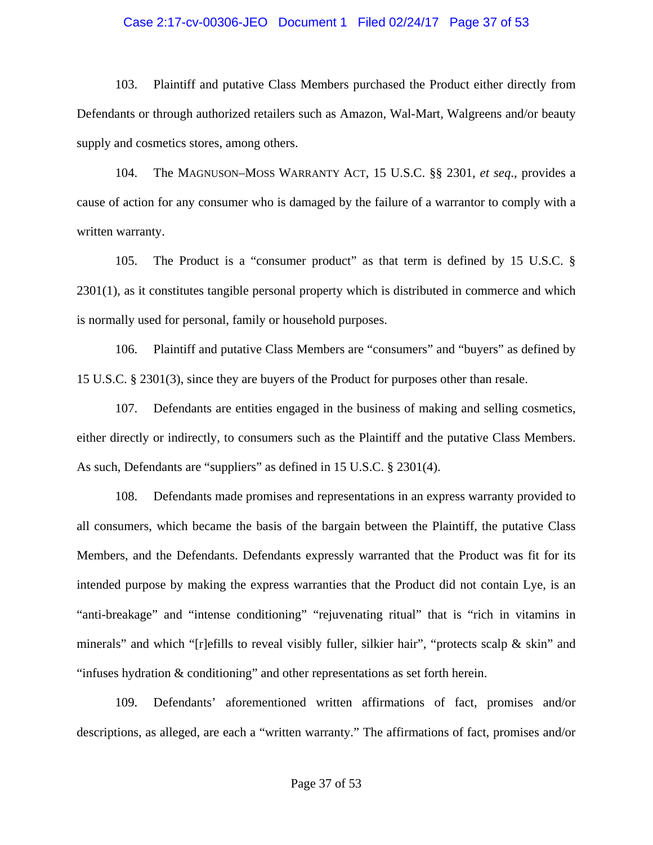#### Case 2:17-cv-00306-JEO Document 1 Filed 02/24/17 Page 37 of 53

103. Plaintiff and putative Class Members purchased the Product either directly from Defendants or through authorized retailers such as Amazon, Wal-Mart, Walgreens and/or beauty supply and cosmetics stores, among others.

104. The MAGNUSON–MOSS WARRANTY ACT, 15 U.S.C. §§ 2301, *et seq*., provides a cause of action for any consumer who is damaged by the failure of a warrantor to comply with a written warranty.

105. The Product is a "consumer product" as that term is defined by 15 U.S.C. § 2301(1), as it constitutes tangible personal property which is distributed in commerce and which is normally used for personal, family or household purposes.

106. Plaintiff and putative Class Members are "consumers" and "buyers" as defined by 15 U.S.C. § 2301(3), since they are buyers of the Product for purposes other than resale.

107. Defendants are entities engaged in the business of making and selling cosmetics, either directly or indirectly, to consumers such as the Plaintiff and the putative Class Members. As such, Defendants are "suppliers" as defined in 15 U.S.C. § 2301(4).

108. Defendants made promises and representations in an express warranty provided to all consumers, which became the basis of the bargain between the Plaintiff, the putative Class Members, and the Defendants. Defendants expressly warranted that the Product was fit for its intended purpose by making the express warranties that the Product did not contain Lye, is an "anti-breakage" and "intense conditioning" "rejuvenating ritual" that is "rich in vitamins in minerals" and which "[r]efills to reveal visibly fuller, silkier hair", "protects scalp  $\&$  skin" and "infuses hydration & conditioning" and other representations as set forth herein.

109. Defendants' aforementioned written affirmations of fact, promises and/or descriptions, as alleged, are each a "written warranty." The affirmations of fact, promises and/or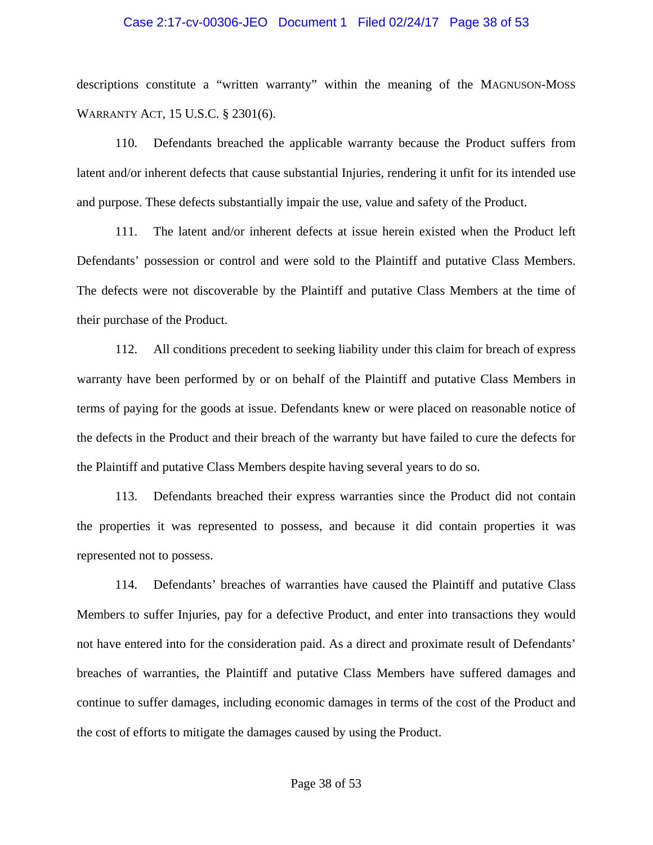### Case 2:17-cv-00306-JEO Document 1 Filed 02/24/17 Page 38 of 53

descriptions constitute a "written warranty" within the meaning of the MAGNUSON-MOSS WARRANTY ACT, 15 U.S.C. § 2301(6).

110. Defendants breached the applicable warranty because the Product suffers from latent and/or inherent defects that cause substantial Injuries, rendering it unfit for its intended use and purpose. These defects substantially impair the use, value and safety of the Product.

111. The latent and/or inherent defects at issue herein existed when the Product left Defendants' possession or control and were sold to the Plaintiff and putative Class Members. The defects were not discoverable by the Plaintiff and putative Class Members at the time of their purchase of the Product.

112. All conditions precedent to seeking liability under this claim for breach of express warranty have been performed by or on behalf of the Plaintiff and putative Class Members in terms of paying for the goods at issue. Defendants knew or were placed on reasonable notice of the defects in the Product and their breach of the warranty but have failed to cure the defects for the Plaintiff and putative Class Members despite having several years to do so.

113. Defendants breached their express warranties since the Product did not contain the properties it was represented to possess, and because it did contain properties it was represented not to possess.

114. Defendants' breaches of warranties have caused the Plaintiff and putative Class Members to suffer Injuries, pay for a defective Product, and enter into transactions they would not have entered into for the consideration paid. As a direct and proximate result of Defendants' breaches of warranties, the Plaintiff and putative Class Members have suffered damages and continue to suffer damages, including economic damages in terms of the cost of the Product and the cost of efforts to mitigate the damages caused by using the Product.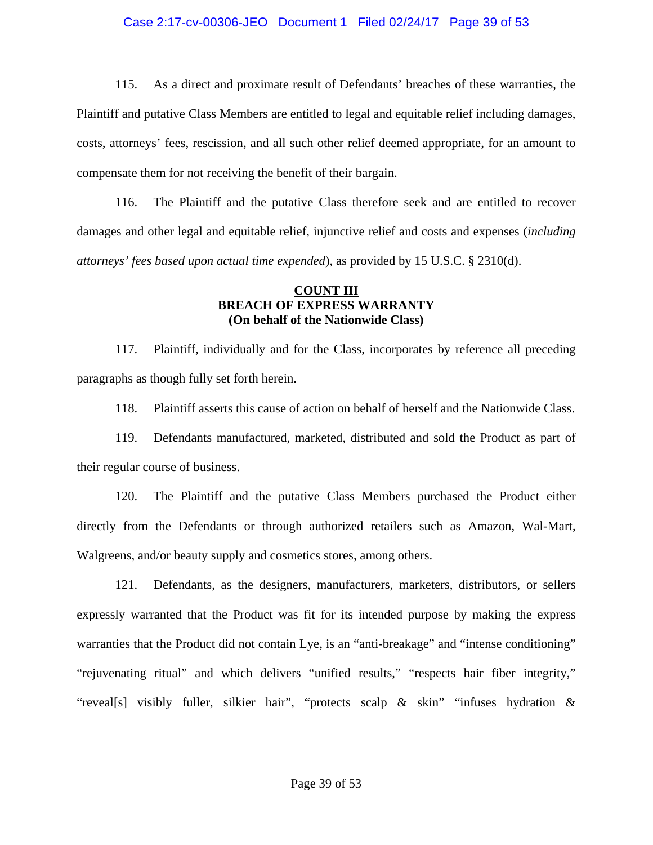#### Case 2:17-cv-00306-JEO Document 1 Filed 02/24/17 Page 39 of 53

115. As a direct and proximate result of Defendants' breaches of these warranties, the Plaintiff and putative Class Members are entitled to legal and equitable relief including damages, costs, attorneys' fees, rescission, and all such other relief deemed appropriate, for an amount to compensate them for not receiving the benefit of their bargain.

116. The Plaintiff and the putative Class therefore seek and are entitled to recover damages and other legal and equitable relief, injunctive relief and costs and expenses (*including attorneys' fees based upon actual time expended*), as provided by 15 U.S.C. § 2310(d).

### **COUNT III BREACH OF EXPRESS WARRANTY (On behalf of the Nationwide Class)**

117. Plaintiff, individually and for the Class, incorporates by reference all preceding paragraphs as though fully set forth herein.

118. Plaintiff asserts this cause of action on behalf of herself and the Nationwide Class.

119. Defendants manufactured, marketed, distributed and sold the Product as part of their regular course of business.

120. The Plaintiff and the putative Class Members purchased the Product either directly from the Defendants or through authorized retailers such as Amazon, Wal-Mart, Walgreens, and/or beauty supply and cosmetics stores, among others.

121. Defendants, as the designers, manufacturers, marketers, distributors, or sellers expressly warranted that the Product was fit for its intended purpose by making the express warranties that the Product did not contain Lye, is an "anti-breakage" and "intense conditioning" "rejuvenating ritual" and which delivers "unified results," "respects hair fiber integrity," "reveal[s] visibly fuller, silkier hair", "protects scalp & skin" "infuses hydration &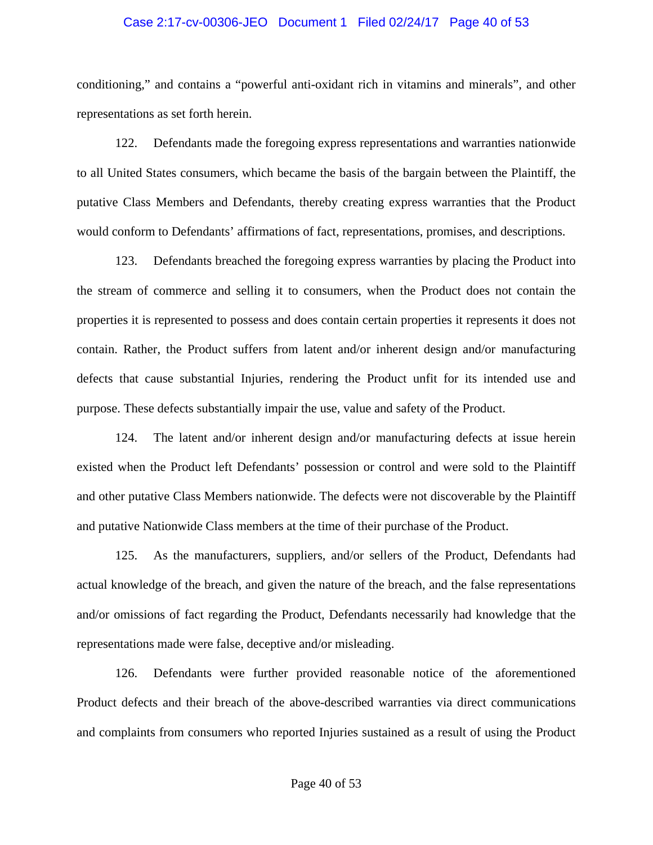### Case 2:17-cv-00306-JEO Document 1 Filed 02/24/17 Page 40 of 53

conditioning," and contains a "powerful anti-oxidant rich in vitamins and minerals", and other representations as set forth herein.

122. Defendants made the foregoing express representations and warranties nationwide to all United States consumers, which became the basis of the bargain between the Plaintiff, the putative Class Members and Defendants, thereby creating express warranties that the Product would conform to Defendants' affirmations of fact, representations, promises, and descriptions.

123. Defendants breached the foregoing express warranties by placing the Product into the stream of commerce and selling it to consumers, when the Product does not contain the properties it is represented to possess and does contain certain properties it represents it does not contain. Rather, the Product suffers from latent and/or inherent design and/or manufacturing defects that cause substantial Injuries, rendering the Product unfit for its intended use and purpose. These defects substantially impair the use, value and safety of the Product.

124. The latent and/or inherent design and/or manufacturing defects at issue herein existed when the Product left Defendants' possession or control and were sold to the Plaintiff and other putative Class Members nationwide. The defects were not discoverable by the Plaintiff and putative Nationwide Class members at the time of their purchase of the Product.

125. As the manufacturers, suppliers, and/or sellers of the Product, Defendants had actual knowledge of the breach, and given the nature of the breach, and the false representations and/or omissions of fact regarding the Product, Defendants necessarily had knowledge that the representations made were false, deceptive and/or misleading.

126. Defendants were further provided reasonable notice of the aforementioned Product defects and their breach of the above-described warranties via direct communications and complaints from consumers who reported Injuries sustained as a result of using the Product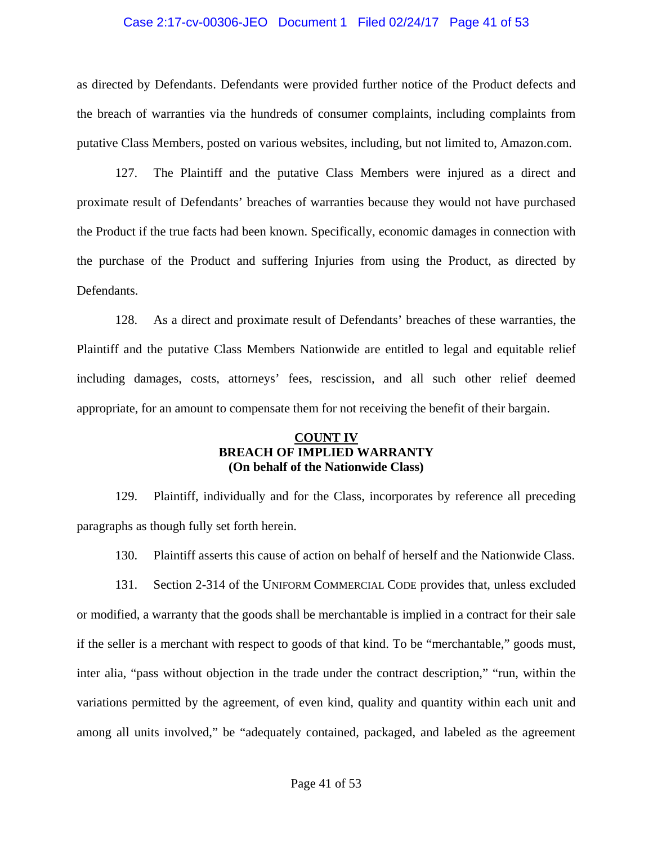### Case 2:17-cv-00306-JEO Document 1 Filed 02/24/17 Page 41 of 53

as directed by Defendants. Defendants were provided further notice of the Product defects and the breach of warranties via the hundreds of consumer complaints, including complaints from putative Class Members, posted on various websites, including, but not limited to, Amazon.com.

127. The Plaintiff and the putative Class Members were injured as a direct and proximate result of Defendants' breaches of warranties because they would not have purchased the Product if the true facts had been known. Specifically, economic damages in connection with the purchase of the Product and suffering Injuries from using the Product, as directed by Defendants.

128. As a direct and proximate result of Defendants' breaches of these warranties, the Plaintiff and the putative Class Members Nationwide are entitled to legal and equitable relief including damages, costs, attorneys' fees, rescission, and all such other relief deemed appropriate, for an amount to compensate them for not receiving the benefit of their bargain.

### **COUNT IV BREACH OF IMPLIED WARRANTY (On behalf of the Nationwide Class)**

129. Plaintiff, individually and for the Class, incorporates by reference all preceding paragraphs as though fully set forth herein.

130. Plaintiff asserts this cause of action on behalf of herself and the Nationwide Class.

131. Section 2-314 of the UNIFORM COMMERCIAL CODE provides that, unless excluded or modified, a warranty that the goods shall be merchantable is implied in a contract for their sale if the seller is a merchant with respect to goods of that kind. To be "merchantable," goods must, inter alia, "pass without objection in the trade under the contract description," "run, within the variations permitted by the agreement, of even kind, quality and quantity within each unit and among all units involved," be "adequately contained, packaged, and labeled as the agreement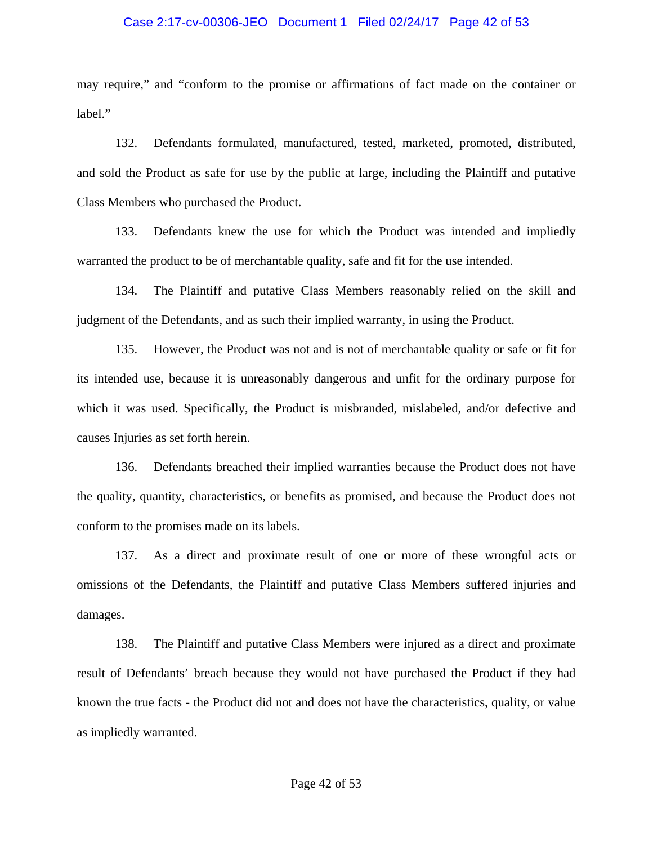### Case 2:17-cv-00306-JEO Document 1 Filed 02/24/17 Page 42 of 53

may require," and "conform to the promise or affirmations of fact made on the container or label."

132. Defendants formulated, manufactured, tested, marketed, promoted, distributed, and sold the Product as safe for use by the public at large, including the Plaintiff and putative Class Members who purchased the Product.

133. Defendants knew the use for which the Product was intended and impliedly warranted the product to be of merchantable quality, safe and fit for the use intended.

134. The Plaintiff and putative Class Members reasonably relied on the skill and judgment of the Defendants, and as such their implied warranty, in using the Product.

135. However, the Product was not and is not of merchantable quality or safe or fit for its intended use, because it is unreasonably dangerous and unfit for the ordinary purpose for which it was used. Specifically, the Product is misbranded, mislabeled, and/or defective and causes Injuries as set forth herein.

136. Defendants breached their implied warranties because the Product does not have the quality, quantity, characteristics, or benefits as promised, and because the Product does not conform to the promises made on its labels.

137. As a direct and proximate result of one or more of these wrongful acts or omissions of the Defendants, the Plaintiff and putative Class Members suffered injuries and damages.

138. The Plaintiff and putative Class Members were injured as a direct and proximate result of Defendants' breach because they would not have purchased the Product if they had known the true facts - the Product did not and does not have the characteristics, quality, or value as impliedly warranted.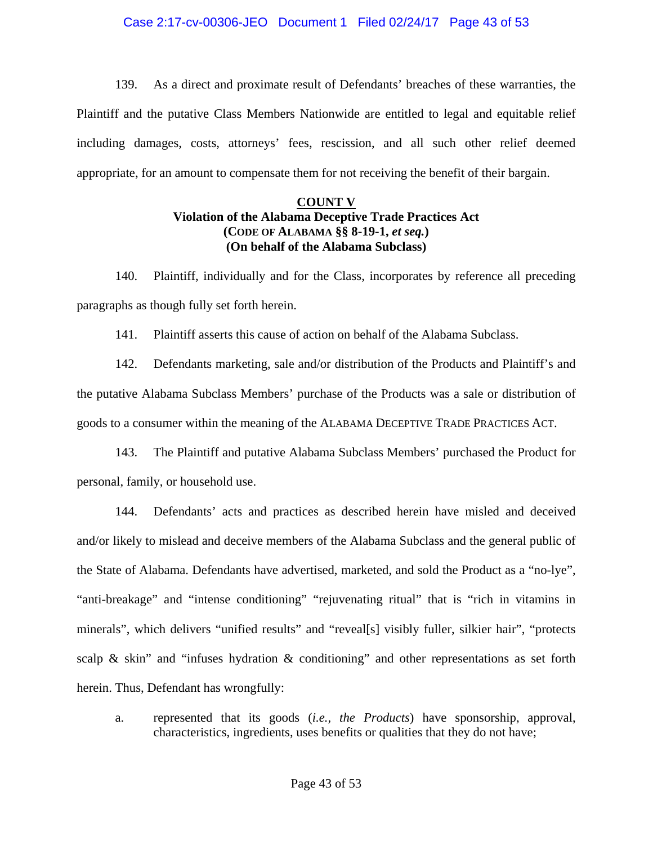### Case 2:17-cv-00306-JEO Document 1 Filed 02/24/17 Page 43 of 53

139. As a direct and proximate result of Defendants' breaches of these warranties, the Plaintiff and the putative Class Members Nationwide are entitled to legal and equitable relief including damages, costs, attorneys' fees, rescission, and all such other relief deemed appropriate, for an amount to compensate them for not receiving the benefit of their bargain.

### **COUNT V Violation of the Alabama Deceptive Trade Practices Act (CODE OF ALABAMA §§ 8-19-1,** *et seq.***) (On behalf of the Alabama Subclass)**

140. Plaintiff, individually and for the Class, incorporates by reference all preceding paragraphs as though fully set forth herein.

141. Plaintiff asserts this cause of action on behalf of the Alabama Subclass.

142. Defendants marketing, sale and/or distribution of the Products and Plaintiff's and the putative Alabama Subclass Members' purchase of the Products was a sale or distribution of goods to a consumer within the meaning of the ALABAMA DECEPTIVE TRADE PRACTICES ACT.

143. The Plaintiff and putative Alabama Subclass Members' purchased the Product for personal, family, or household use.

144. Defendants' acts and practices as described herein have misled and deceived and/or likely to mislead and deceive members of the Alabama Subclass and the general public of the State of Alabama. Defendants have advertised, marketed, and sold the Product as a "no-lye", "anti-breakage" and "intense conditioning" "rejuvenating ritual" that is "rich in vitamins in minerals", which delivers "unified results" and "reveal[s] visibly fuller, silkier hair", "protects scalp & skin" and "infuses hydration  $\&$  conditioning" and other representations as set forth herein. Thus, Defendant has wrongfully:

a. represented that its goods (*i.e., the Products*) have sponsorship, approval, characteristics, ingredients, uses benefits or qualities that they do not have;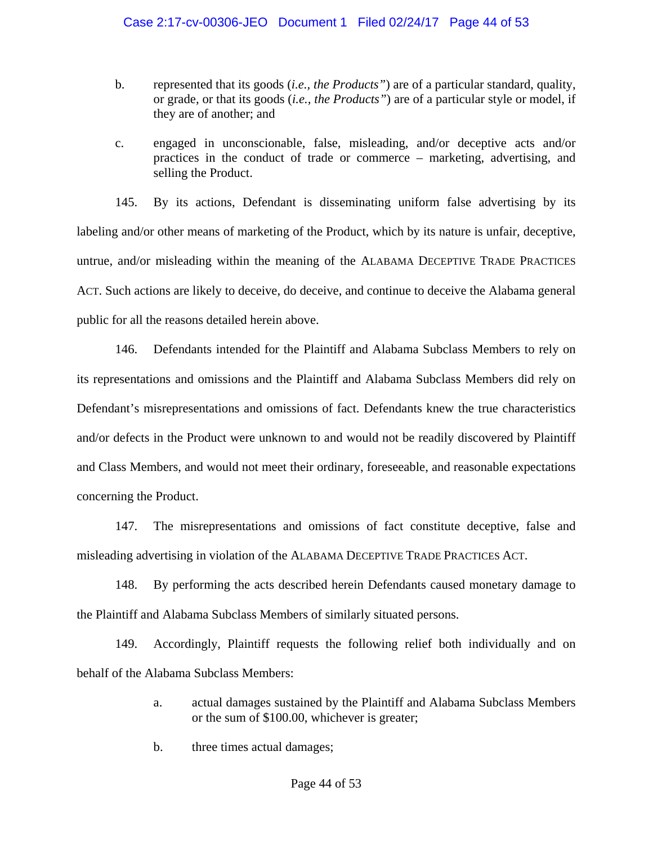- b. represented that its goods (*i.e., the Products"*) are of a particular standard, quality, or grade, or that its goods (*i.e., the Products"*) are of a particular style or model, if they are of another; and
- c. engaged in unconscionable, false, misleading, and/or deceptive acts and/or practices in the conduct of trade or commerce – marketing, advertising, and selling the Product.

145. By its actions, Defendant is disseminating uniform false advertising by its labeling and/or other means of marketing of the Product, which by its nature is unfair, deceptive, untrue, and/or misleading within the meaning of the ALABAMA DECEPTIVE TRADE PRACTICES ACT. Such actions are likely to deceive, do deceive, and continue to deceive the Alabama general public for all the reasons detailed herein above.

146. Defendants intended for the Plaintiff and Alabama Subclass Members to rely on its representations and omissions and the Plaintiff and Alabama Subclass Members did rely on Defendant's misrepresentations and omissions of fact. Defendants knew the true characteristics and/or defects in the Product were unknown to and would not be readily discovered by Plaintiff and Class Members, and would not meet their ordinary, foreseeable, and reasonable expectations concerning the Product.

147. The misrepresentations and omissions of fact constitute deceptive, false and misleading advertising in violation of the ALABAMA DECEPTIVE TRADE PRACTICES ACT.

148. By performing the acts described herein Defendants caused monetary damage to the Plaintiff and Alabama Subclass Members of similarly situated persons.

149. Accordingly, Plaintiff requests the following relief both individually and on behalf of the Alabama Subclass Members:

- a. actual damages sustained by the Plaintiff and Alabama Subclass Members or the sum of \$100.00, whichever is greater;
- b. three times actual damages;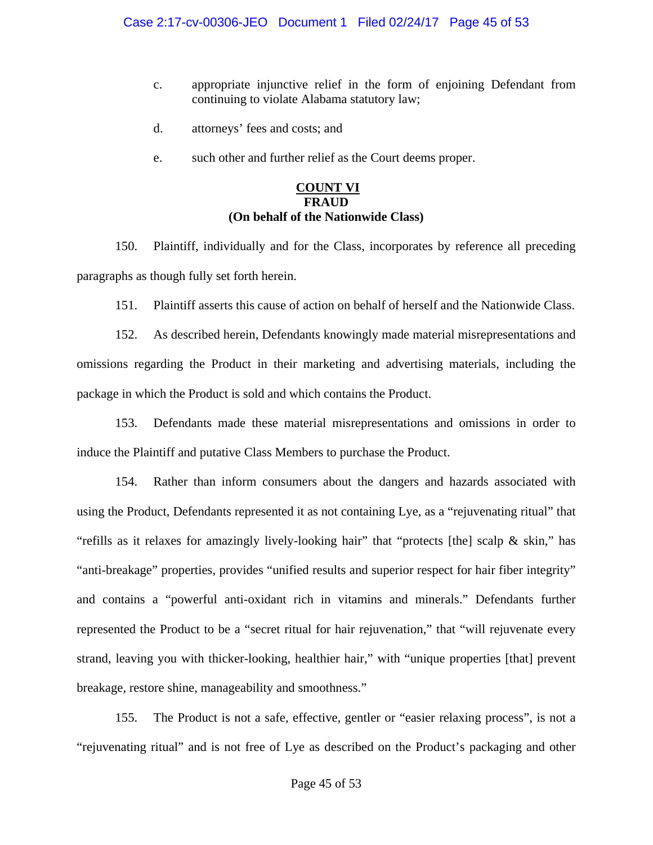- c. appropriate injunctive relief in the form of enjoining Defendant from continuing to violate Alabama statutory law;
- d. attorneys' fees and costs; and
- e. such other and further relief as the Court deems proper.

### **COUNT VI FRAUD (On behalf of the Nationwide Class)**

150. Plaintiff, individually and for the Class, incorporates by reference all preceding paragraphs as though fully set forth herein.

151. Plaintiff asserts this cause of action on behalf of herself and the Nationwide Class.

152. As described herein, Defendants knowingly made material misrepresentations and omissions regarding the Product in their marketing and advertising materials, including the package in which the Product is sold and which contains the Product.

153. Defendants made these material misrepresentations and omissions in order to induce the Plaintiff and putative Class Members to purchase the Product.

154. Rather than inform consumers about the dangers and hazards associated with using the Product, Defendants represented it as not containing Lye, as a "rejuvenating ritual" that "refills as it relaxes for amazingly lively-looking hair" that "protects [the] scalp & skin," has "anti-breakage" properties, provides "unified results and superior respect for hair fiber integrity" and contains a "powerful anti-oxidant rich in vitamins and minerals." Defendants further represented the Product to be a "secret ritual for hair rejuvenation," that "will rejuvenate every strand, leaving you with thicker-looking, healthier hair," with "unique properties [that] prevent breakage, restore shine, manageability and smoothness."

155. The Product is not a safe, effective, gentler or "easier relaxing process", is not a "rejuvenating ritual" and is not free of Lye as described on the Product's packaging and other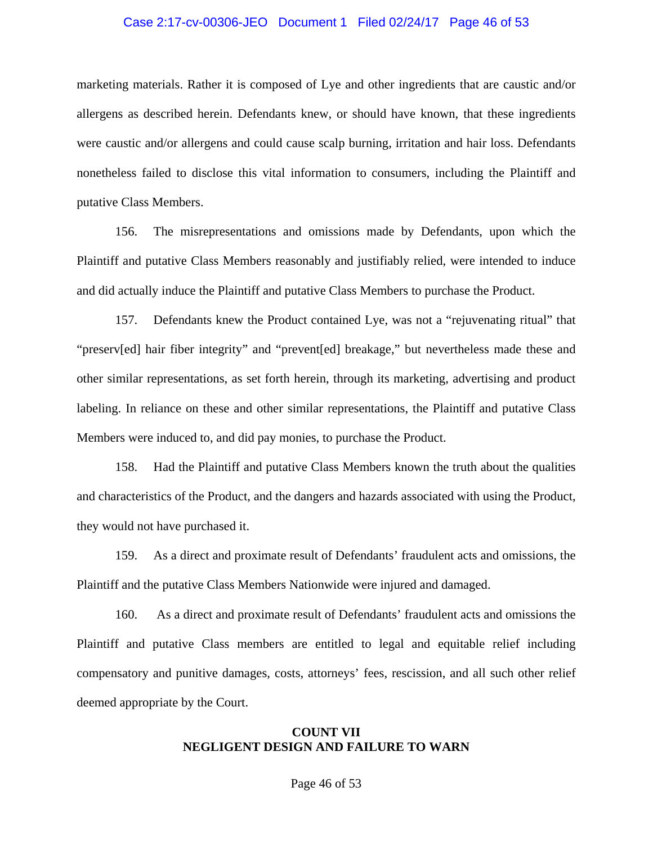#### Case 2:17-cv-00306-JEO Document 1 Filed 02/24/17 Page 46 of 53

marketing materials. Rather it is composed of Lye and other ingredients that are caustic and/or allergens as described herein. Defendants knew, or should have known, that these ingredients were caustic and/or allergens and could cause scalp burning, irritation and hair loss. Defendants nonetheless failed to disclose this vital information to consumers, including the Plaintiff and putative Class Members.

156. The misrepresentations and omissions made by Defendants, upon which the Plaintiff and putative Class Members reasonably and justifiably relied, were intended to induce and did actually induce the Plaintiff and putative Class Members to purchase the Product.

157. Defendants knew the Product contained Lye, was not a "rejuvenating ritual" that "preserv[ed] hair fiber integrity" and "prevent[ed] breakage," but nevertheless made these and other similar representations, as set forth herein, through its marketing, advertising and product labeling. In reliance on these and other similar representations, the Plaintiff and putative Class Members were induced to, and did pay monies, to purchase the Product.

158. Had the Plaintiff and putative Class Members known the truth about the qualities and characteristics of the Product, and the dangers and hazards associated with using the Product, they would not have purchased it.

159. As a direct and proximate result of Defendants' fraudulent acts and omissions, the Plaintiff and the putative Class Members Nationwide were injured and damaged.

160. As a direct and proximate result of Defendants' fraudulent acts and omissions the Plaintiff and putative Class members are entitled to legal and equitable relief including compensatory and punitive damages, costs, attorneys' fees, rescission, and all such other relief deemed appropriate by the Court.

#### **COUNT VII NEGLIGENT DESIGN AND FAILURE TO WARN**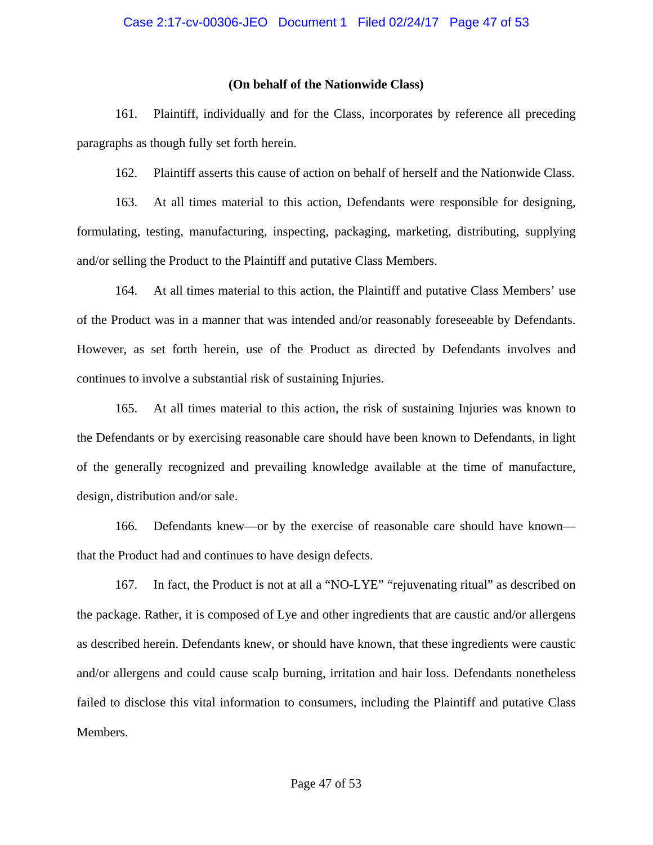#### **(On behalf of the Nationwide Class)**

161. Plaintiff, individually and for the Class, incorporates by reference all preceding paragraphs as though fully set forth herein.

162. Plaintiff asserts this cause of action on behalf of herself and the Nationwide Class.

163. At all times material to this action, Defendants were responsible for designing, formulating, testing, manufacturing, inspecting, packaging, marketing, distributing, supplying and/or selling the Product to the Plaintiff and putative Class Members.

164. At all times material to this action, the Plaintiff and putative Class Members' use of the Product was in a manner that was intended and/or reasonably foreseeable by Defendants. However, as set forth herein, use of the Product as directed by Defendants involves and continues to involve a substantial risk of sustaining Injuries.

165. At all times material to this action, the risk of sustaining Injuries was known to the Defendants or by exercising reasonable care should have been known to Defendants, in light of the generally recognized and prevailing knowledge available at the time of manufacture, design, distribution and/or sale.

166. Defendants knew—or by the exercise of reasonable care should have known that the Product had and continues to have design defects.

167. In fact, the Product is not at all a "NO-LYE" "rejuvenating ritual" as described on the package. Rather, it is composed of Lye and other ingredients that are caustic and/or allergens as described herein. Defendants knew, or should have known, that these ingredients were caustic and/or allergens and could cause scalp burning, irritation and hair loss. Defendants nonetheless failed to disclose this vital information to consumers, including the Plaintiff and putative Class Members.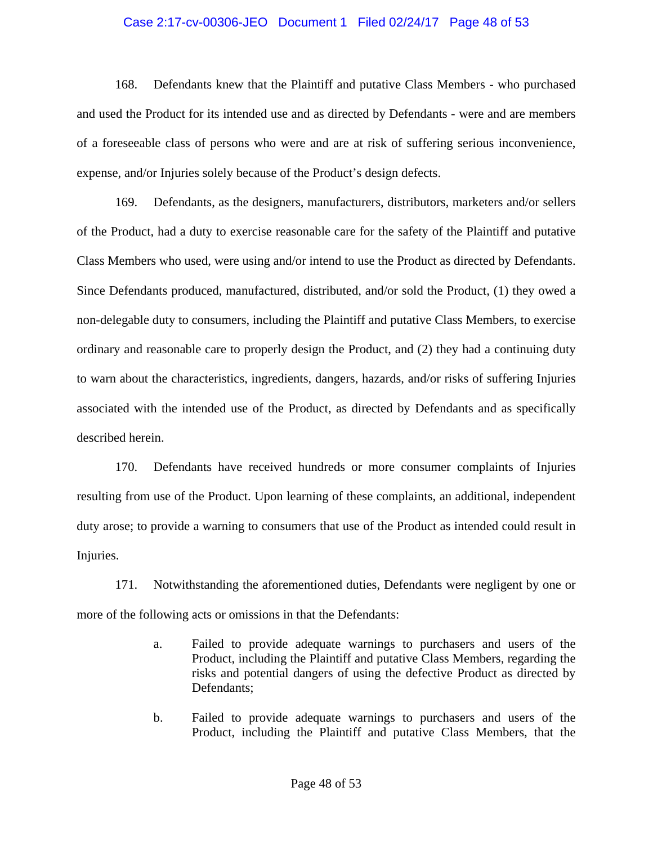#### Case 2:17-cv-00306-JEO Document 1 Filed 02/24/17 Page 48 of 53

168. Defendants knew that the Plaintiff and putative Class Members - who purchased and used the Product for its intended use and as directed by Defendants - were and are members of a foreseeable class of persons who were and are at risk of suffering serious inconvenience, expense, and/or Injuries solely because of the Product's design defects.

169. Defendants, as the designers, manufacturers, distributors, marketers and/or sellers of the Product, had a duty to exercise reasonable care for the safety of the Plaintiff and putative Class Members who used, were using and/or intend to use the Product as directed by Defendants. Since Defendants produced, manufactured, distributed, and/or sold the Product, (1) they owed a non-delegable duty to consumers, including the Plaintiff and putative Class Members, to exercise ordinary and reasonable care to properly design the Product, and (2) they had a continuing duty to warn about the characteristics, ingredients, dangers, hazards, and/or risks of suffering Injuries associated with the intended use of the Product, as directed by Defendants and as specifically described herein.

170. Defendants have received hundreds or more consumer complaints of Injuries resulting from use of the Product. Upon learning of these complaints, an additional, independent duty arose; to provide a warning to consumers that use of the Product as intended could result in Injuries.

171. Notwithstanding the aforementioned duties, Defendants were negligent by one or more of the following acts or omissions in that the Defendants:

- a. Failed to provide adequate warnings to purchasers and users of the Product, including the Plaintiff and putative Class Members, regarding the risks and potential dangers of using the defective Product as directed by Defendants;
- b. Failed to provide adequate warnings to purchasers and users of the Product, including the Plaintiff and putative Class Members, that the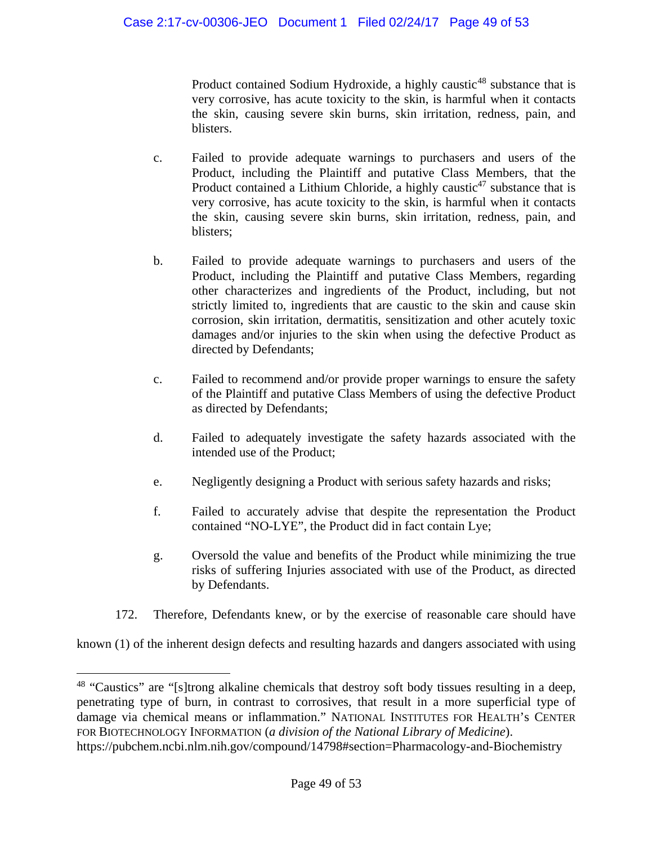Product contained Sodium Hydroxide, a highly caustic<sup>[48](#page-48-0)</sup> substance that is very corrosive, has acute toxicity to the skin, is harmful when it contacts the skin, causing severe skin burns, skin irritation, redness, pain, and blisters.

- c. Failed to provide adequate warnings to purchasers and users of the Product, including the Plaintiff and putative Class Members, that the Product contained a Lithium Chloride, a highly caustic<sup>47</sup> substance that is very corrosive, has acute toxicity to the skin, is harmful when it contacts the skin, causing severe skin burns, skin irritation, redness, pain, and blisters;
- b. Failed to provide adequate warnings to purchasers and users of the Product, including the Plaintiff and putative Class Members, regarding other characterizes and ingredients of the Product, including, but not strictly limited to, ingredients that are caustic to the skin and cause skin corrosion, skin irritation, dermatitis, sensitization and other acutely toxic damages and/or injuries to the skin when using the defective Product as directed by Defendants;
- c. Failed to recommend and/or provide proper warnings to ensure the safety of the Plaintiff and putative Class Members of using the defective Product as directed by Defendants;
- d. Failed to adequately investigate the safety hazards associated with the intended use of the Product;
- e. Negligently designing a Product with serious safety hazards and risks;
- f. Failed to accurately advise that despite the representation the Product contained "NO-LYE", the Product did in fact contain Lye;
- g. Oversold the value and benefits of the Product while minimizing the true risks of suffering Injuries associated with use of the Product, as directed by Defendants.
- 172. Therefore, Defendants knew, or by the exercise of reasonable care should have

known (1) of the inherent design defects and resulting hazards and dangers associated with using

<span id="page-48-0"></span><sup>&</sup>lt;sup>48</sup> "Caustics" are "[s]trong alkaline chemicals that destroy soft body tissues resulting in a deep, penetrating type of burn, in contrast to corrosives, that result in a more superficial type of damage via chemical means or inflammation." NATIONAL INSTITUTES FOR HEALTH's CENTER FOR BIOTECHNOLOGY INFORMATION (*a division of the National Library of Medicine*). https://pubchem.ncbi.nlm.nih.gov/compound/14798#section=Pharmacology-and-Biochemistry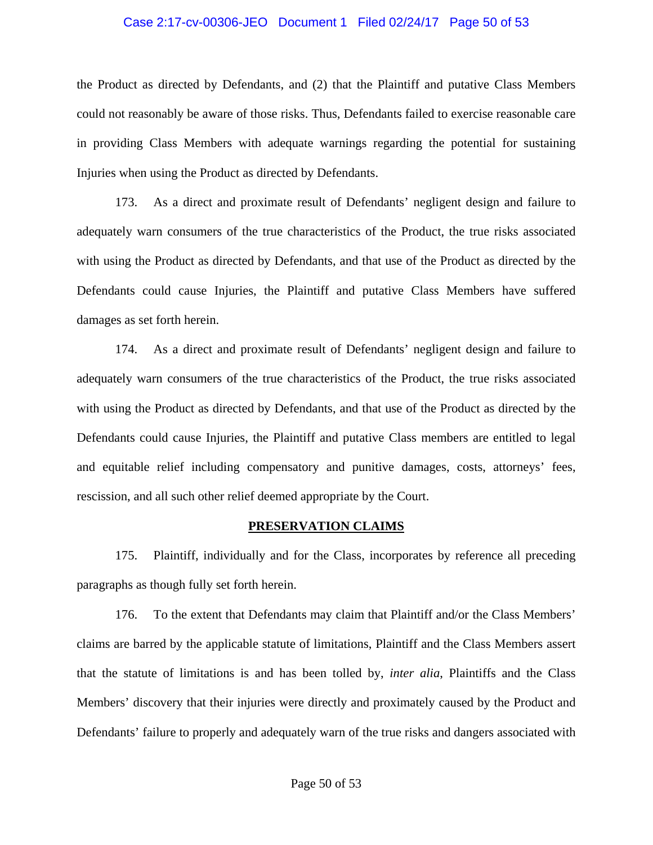#### Case 2:17-cv-00306-JEO Document 1 Filed 02/24/17 Page 50 of 53

the Product as directed by Defendants, and (2) that the Plaintiff and putative Class Members could not reasonably be aware of those risks. Thus, Defendants failed to exercise reasonable care in providing Class Members with adequate warnings regarding the potential for sustaining Injuries when using the Product as directed by Defendants.

173. As a direct and proximate result of Defendants' negligent design and failure to adequately warn consumers of the true characteristics of the Product, the true risks associated with using the Product as directed by Defendants, and that use of the Product as directed by the Defendants could cause Injuries, the Plaintiff and putative Class Members have suffered damages as set forth herein.

174. As a direct and proximate result of Defendants' negligent design and failure to adequately warn consumers of the true characteristics of the Product, the true risks associated with using the Product as directed by Defendants, and that use of the Product as directed by the Defendants could cause Injuries, the Plaintiff and putative Class members are entitled to legal and equitable relief including compensatory and punitive damages, costs, attorneys' fees, rescission, and all such other relief deemed appropriate by the Court.

#### **PRESERVATION CLAIMS**

175. Plaintiff, individually and for the Class, incorporates by reference all preceding paragraphs as though fully set forth herein.

176. To the extent that Defendants may claim that Plaintiff and/or the Class Members' claims are barred by the applicable statute of limitations, Plaintiff and the Class Members assert that the statute of limitations is and has been tolled by, *inter alia*, Plaintiffs and the Class Members' discovery that their injuries were directly and proximately caused by the Product and Defendants' failure to properly and adequately warn of the true risks and dangers associated with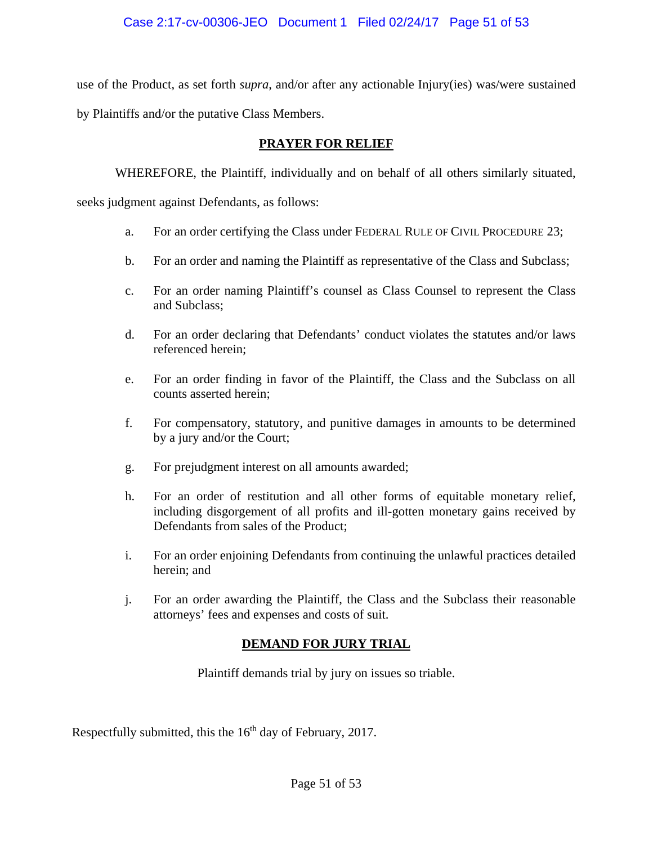use of the Product, as set forth *supra*, and/or after any actionable Injury(ies) was/were sustained by Plaintiffs and/or the putative Class Members.

# **PRAYER FOR RELIEF**

WHEREFORE, the Plaintiff, individually and on behalf of all others similarly situated,

seeks judgment against Defendants, as follows:

- a. For an order certifying the Class under FEDERAL RULE OF CIVIL PROCEDURE 23;
- b. For an order and naming the Plaintiff as representative of the Class and Subclass;
- c. For an order naming Plaintiff's counsel as Class Counsel to represent the Class and Subclass;
- d. For an order declaring that Defendants' conduct violates the statutes and/or laws referenced herein;
- e. For an order finding in favor of the Plaintiff, the Class and the Subclass on all counts asserted herein;
- f. For compensatory, statutory, and punitive damages in amounts to be determined by a jury and/or the Court;
- g. For prejudgment interest on all amounts awarded;
- h. For an order of restitution and all other forms of equitable monetary relief, including disgorgement of all profits and ill-gotten monetary gains received by Defendants from sales of the Product;
- i. For an order enjoining Defendants from continuing the unlawful practices detailed herein; and
- j. For an order awarding the Plaintiff, the Class and the Subclass their reasonable attorneys' fees and expenses and costs of suit.

# **DEMAND FOR JURY TRIAL**

Plaintiff demands trial by jury on issues so triable.

Respectfully submitted, this the  $16<sup>th</sup>$  day of February, 2017.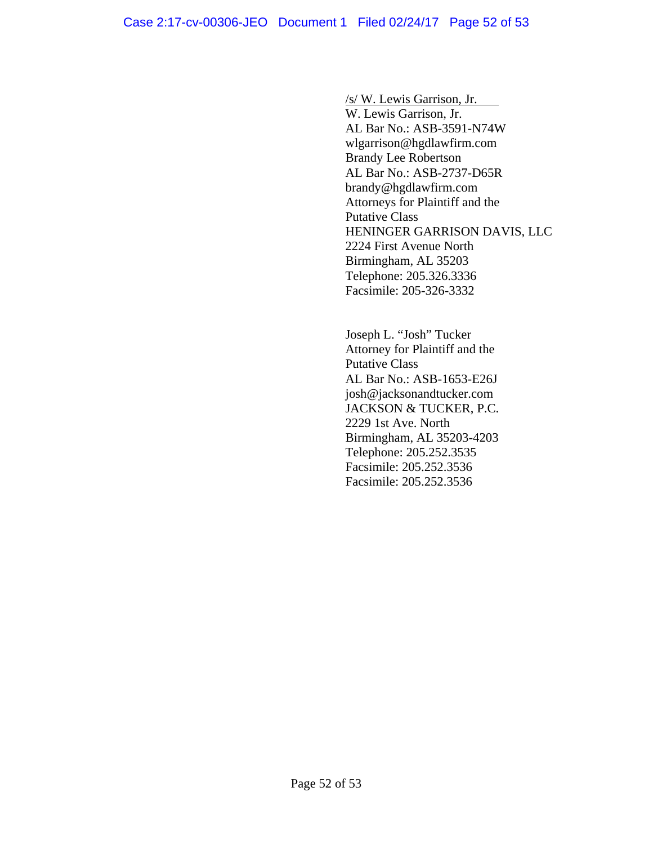/s/ W. Lewis Garrison, Jr. W. Lewis Garrison, Jr. AL Bar No.: ASB-3591-N74W wlgarrison@hgdlawfirm.com Brandy Lee Robertson AL Bar No.: ASB-2737-D65R

brandy@hgdlawfirm.com Attorneys for Plaintiff and the Putative Class HENINGER GARRISON DAVIS, LLC 2224 First Avenue North Birmingham, AL 35203 Telephone: 205.326.3336 Facsimile: 205-326-3332

Joseph L. "Josh" Tucker Attorney for Plaintiff and the Putative Class AL Bar No.: ASB-1653-E26J josh@jacksonandtucker.com JACKSON & TUCKER, P.C. 2229 1st Ave. North Birmingham, AL 35203-4203 Telephone: 205.252.3535 Facsimile: 205.252.3536 Facsimile: 205.252.3536